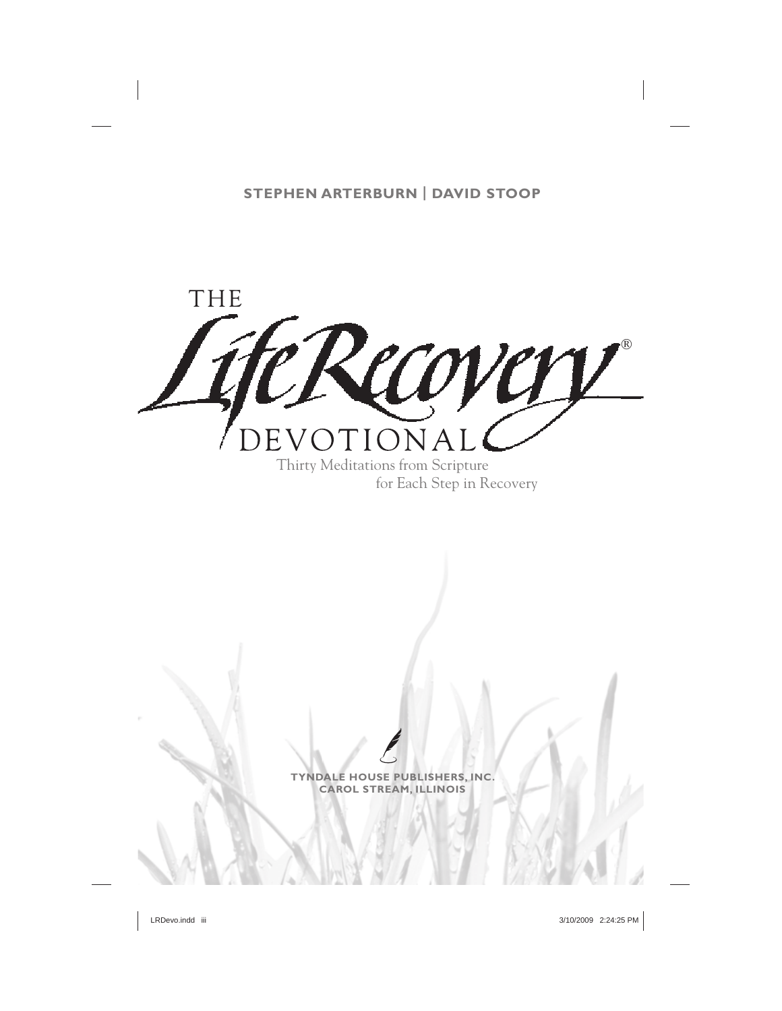THE steRecovery DEVOTIONAL

Thirty Meditations from Scripture for Each Step in Recovery

**TYNDALE HOUSE PUBLISHERS, INC. CAROL STREAM, ILLINOIS**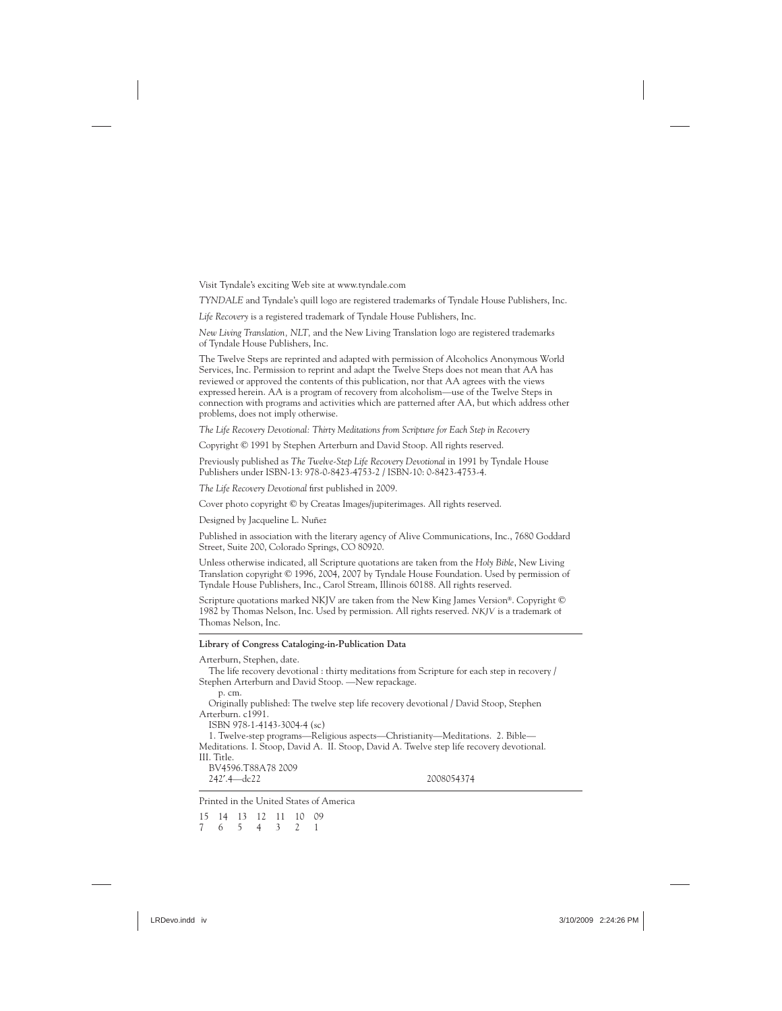Visit Tyndale's exciting Web site at www.tyndale.com

*TYNDALE* and Tyndale's quill logo are registered trademarks of Tyndale House Publishers, Inc.

*Life Recovery* is a registered trademark of Tyndale House Publishers, Inc.

*New Living Translation, NLT,* and the New Living Translation logo are registered trademarks of Tyndale House Publishers, Inc.

The Twelve Steps are reprinted and adapted with permission of Alcoholics Anonymous World Services, Inc. Permission to reprint and adapt the Twelve Steps does not mean that AA has reviewed or approved the contents of this publication, nor that AA agrees with the views expressed herein. AA is a program of recovery from alcoholism—use of the Twelve Steps in connection with programs and activities which are patterned after AA, but which address other problems, does not imply otherwise.

*The Life Recovery Devotional: Thirty Meditations from Scripture for Each Step in Recovery*

Copyright © 1991 by Stephen Arterburn and David Stoop. All rights reserved.

Previously published as *The Twelve-Step Life Recovery Devotional* in 1991 by Tyndale House Publishers under ISBN-13: 978-0-8423-4753-2 / ISBN-10: 0-8423-4753-4.

The Life Recovery Devotional first published in 2009.

Cover photo copyright © by Creatas Images/jupiterimages. All rights reserved.

Designed by Jacqueline L. Nuñez

Published in association with the literary agency of Alive Communications, Inc., 7680 Goddard Street, Suite 200, Colorado Springs, CO 80920.

Unless otherwise indicated, all Scripture quotations are taken from the *Holy Bible*, New Living Translation copyright © 1996, 2004, 2007 by Tyndale House Foundation. Used by permission of Tyndale House Publishers, Inc., Carol Stream, Illinois 60188. All rights reserved.

Scripture quotations marked NKJV are taken from the New King James Version®. Copyright © 1982 by Thomas Nelson, Inc. Used by permission. All rights reserved. *NKJV* is a trademark of Thomas Nelson, Inc.

#### **Library of Congress Cataloging-in-Publication Data**

Arterburn, Stephen, date.

 The life recovery devotional : thirty meditations from Scripture for each step in recovery / Stephen Arterburn and David Stoop. —New repackage.

p. cm.

 Originally published: The twelve step life recovery devotional / David Stoop, Stephen Arterburn. c1991.

ISBN 978-1-4143-3004-4 (sc)

 1. Twelve-step programs—Religious aspects—Christianity—Meditations. 2. Bible— Meditations. I. Stoop, David A. II. Stoop, David A. Twelve step life recovery devotional. III. Title. BV4596.T88A78 2009

242'.4—dc22 2008054374

Printed in the United States of America

15 14 13 12 11 10 09 7 6 5 4 3 2 1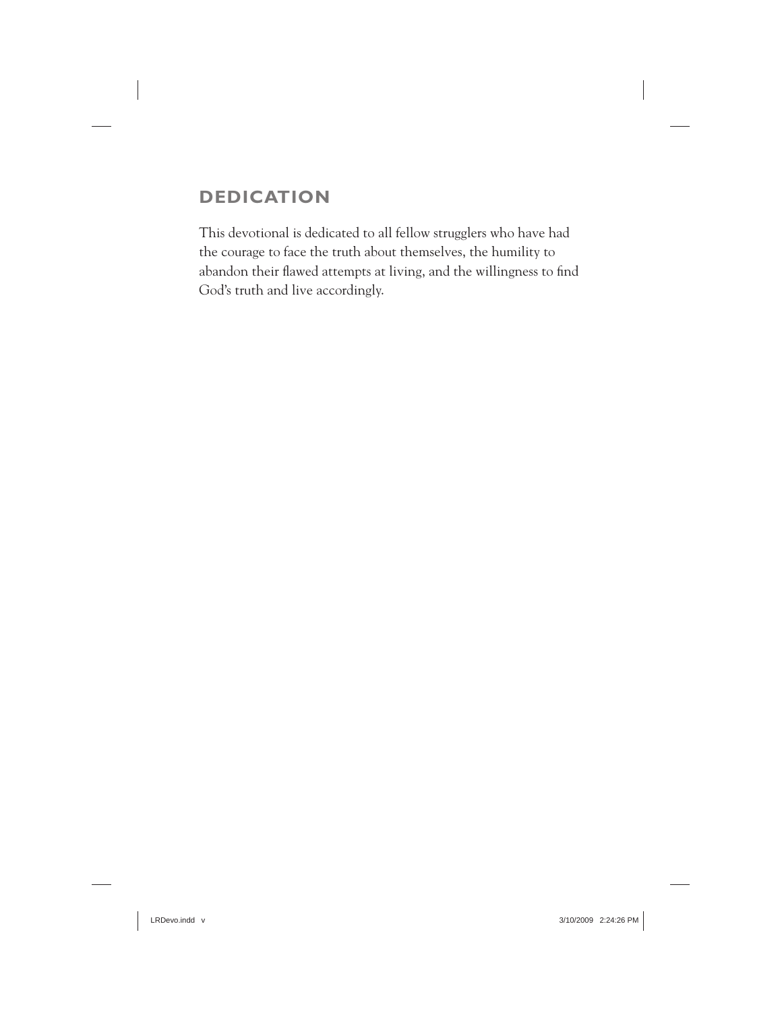# **DEDICATION**

This devotional is dedicated to all fellow strugglers who have had the courage to face the truth about themselves, the humility to abandon their flawed attempts at living, and the willingness to find God's truth and live accordingly.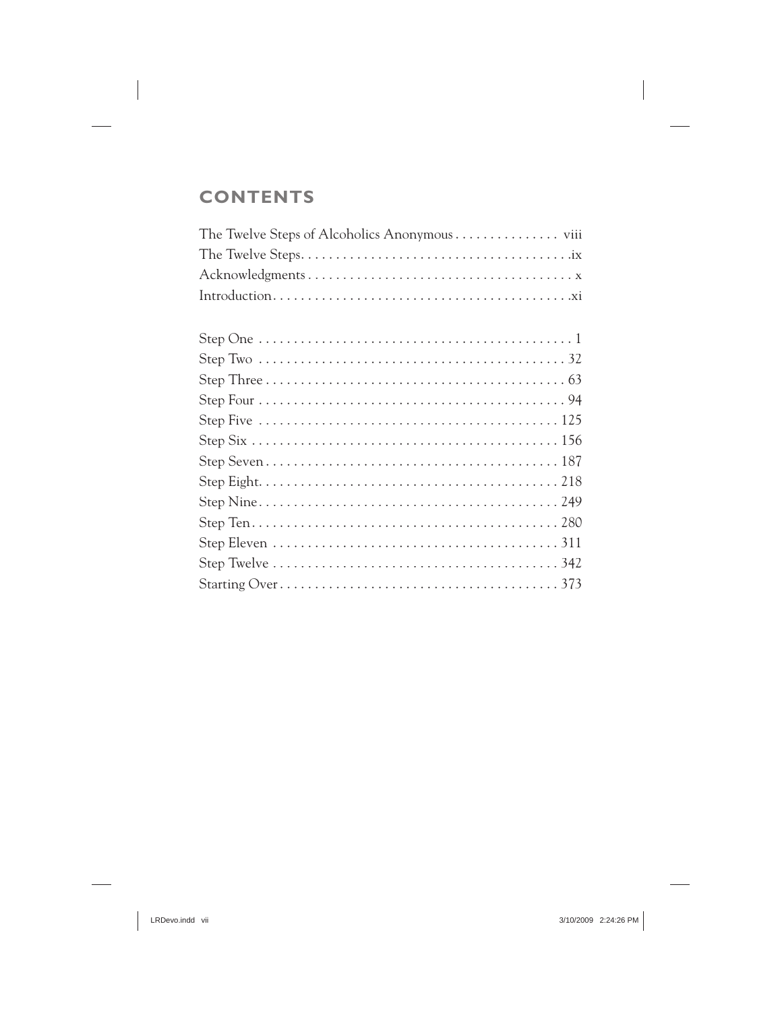# **CONTENTS**

| The Twelve Steps of Alcoholics Anonymous viii                                                                    |
|------------------------------------------------------------------------------------------------------------------|
|                                                                                                                  |
|                                                                                                                  |
|                                                                                                                  |
| Step One $\dots \dots \dots \dots \dots \dots \dots \dots \dots \dots \dots \dots \dots \dots \dots \dots \dots$ |
|                                                                                                                  |
|                                                                                                                  |
|                                                                                                                  |
|                                                                                                                  |
|                                                                                                                  |
|                                                                                                                  |
|                                                                                                                  |
|                                                                                                                  |
|                                                                                                                  |
|                                                                                                                  |
|                                                                                                                  |
|                                                                                                                  |
|                                                                                                                  |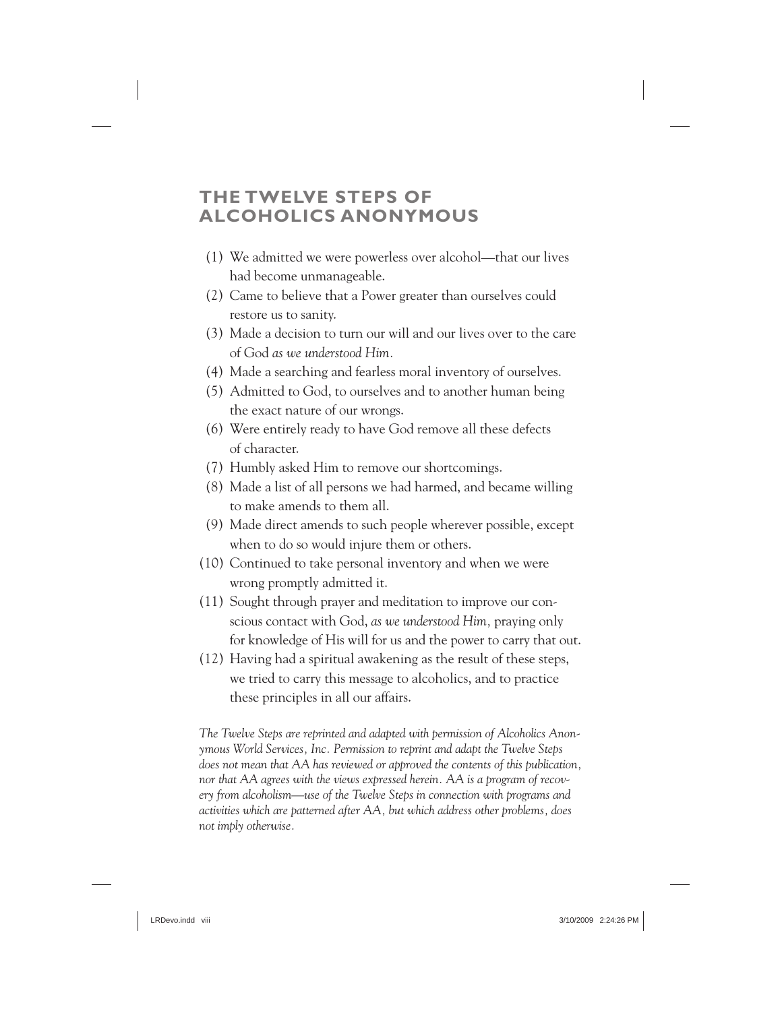# **THE TWELVE STEPS OF ALCOHOLICS ANONYMOUS**

- (1) We admitted we were powerless over alcohol—that our lives had become unmanageable.
- (2) Came to believe that a Power greater than ourselves could restore us to sanity.
- (3) Made a decision to turn our will and our lives over to the care of God *as we understood Him.*
- (4) Made a searching and fearless moral inventory of ourselves.
- (5) Admitted to God, to ourselves and to another human being the exact nature of our wrongs.
- (6) Were entirely ready to have God remove all these defects of character.
- (7) Humbly asked Him to remove our shortcomings.
- (8) Made a list of all persons we had harmed, and became willing to make amends to them all.
- (9) Made direct amends to such people wherever possible, except when to do so would injure them or others.
- (10) Continued to take personal inventory and when we were wrong promptly admitted it.
- (11) Sought through prayer and meditation to improve our conscious contact with God, *as we understood Him,* praying only for knowledge of His will for us and the power to carry that out.
- (12) Having had a spiritual awakening as the result of these steps, we tried to carry this message to alcoholics, and to practice these principles in all our affairs.

*The Twelve Steps are reprinted and adapted with permission of Alcoholics Anonymous World Services, Inc. Permission to reprint and adapt the Twelve Steps does not mean that AA has reviewed or approved the contents of this publication, nor that AA agrees with the views expressed herein. AA is a program of recovery from alcoholism—use of the Twelve Steps in connection with programs and activities which are patterned after AA, but which address other problems, does not imply otherwise.*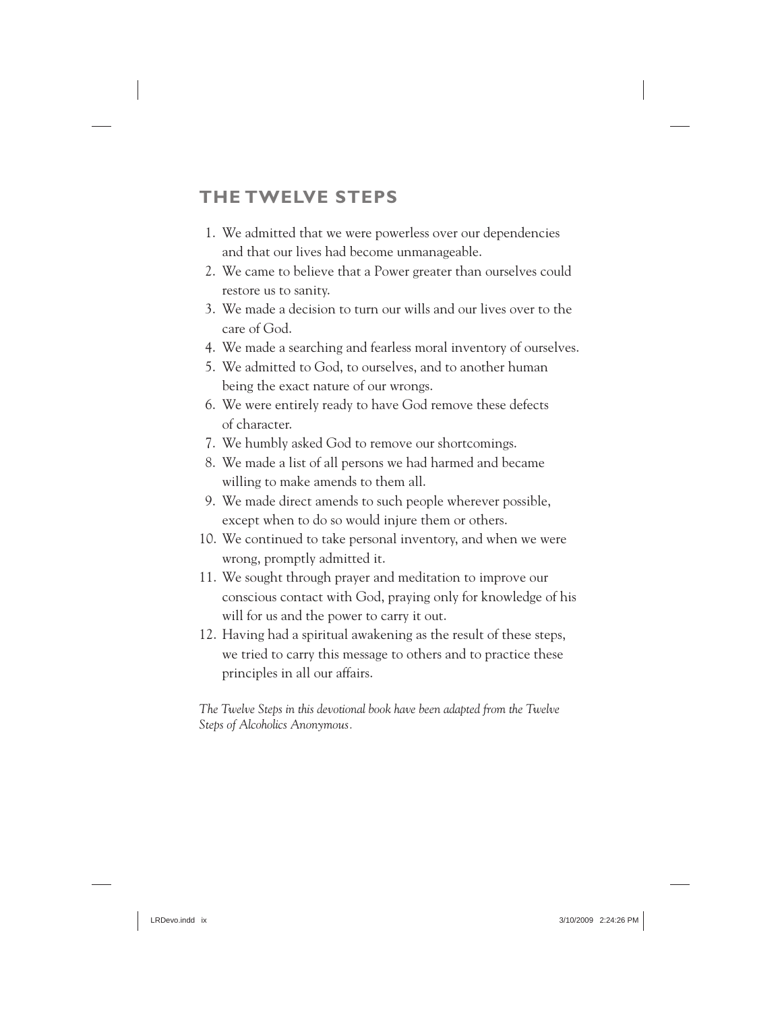# **THE TWELVE STEPS**

- 1. We admitted that we were powerless over our dependencies and that our lives had become unmanageable.
- 2. We came to believe that a Power greater than ourselves could restore us to sanity.
- 3. We made a decision to turn our wills and our lives over to the care of God.
- 4. We made a searching and fearless moral inventory of ourselves.
- 5. We admitted to God, to ourselves, and to another human being the exact nature of our wrongs.
- 6. We were entirely ready to have God remove these defects of character.
- 7. We humbly asked God to remove our shortcomings.
- 8. We made a list of all persons we had harmed and became willing to make amends to them all.
- 9. We made direct amends to such people wherever possible, except when to do so would injure them or others.
- 10. We continued to take personal inventory, and when we were wrong, promptly admitted it.
- 11. We sought through prayer and meditation to improve our conscious contact with God, praying only for knowledge of his will for us and the power to carry it out.
- 12. Having had a spiritual awakening as the result of these steps, we tried to carry this message to others and to practice these principles in all our affairs.

*The Twelve Steps in this devotional book have been adapted from the Twelve Steps of Alcoholics Anonymous.*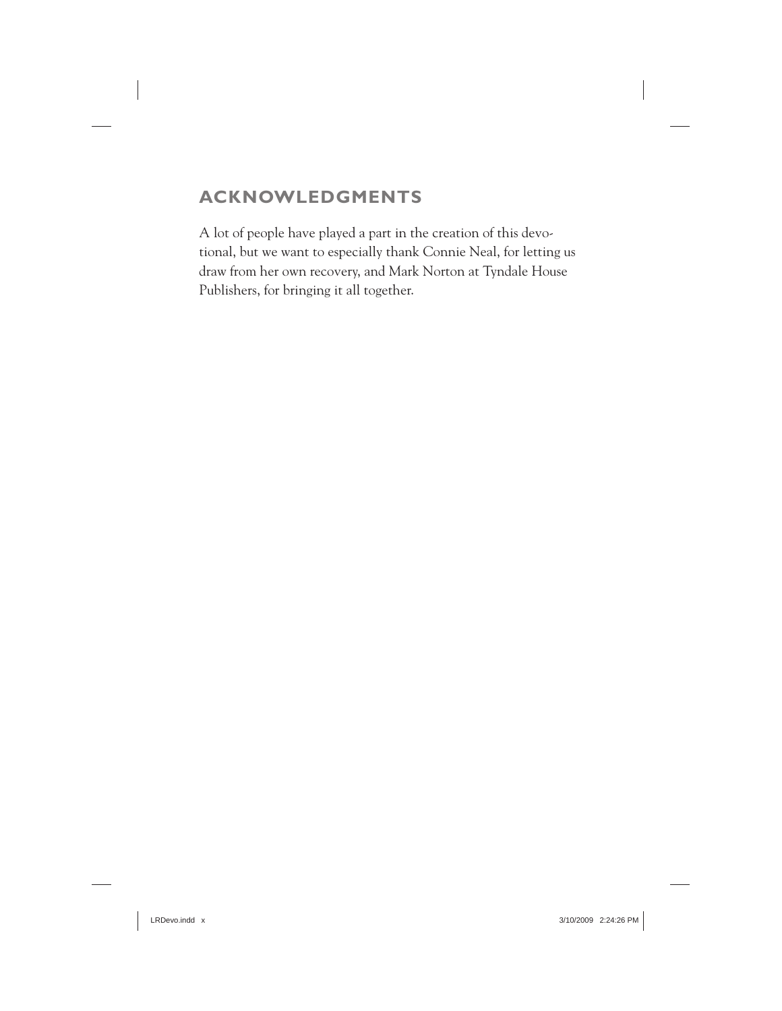# **ACKNOWLEDGMENTS**

A lot of people have played a part in the creation of this devotional, but we want to especially thank Connie Neal, for letting us draw from her own recovery, and Mark Norton at Tyndale House Publishers, for bringing it all together.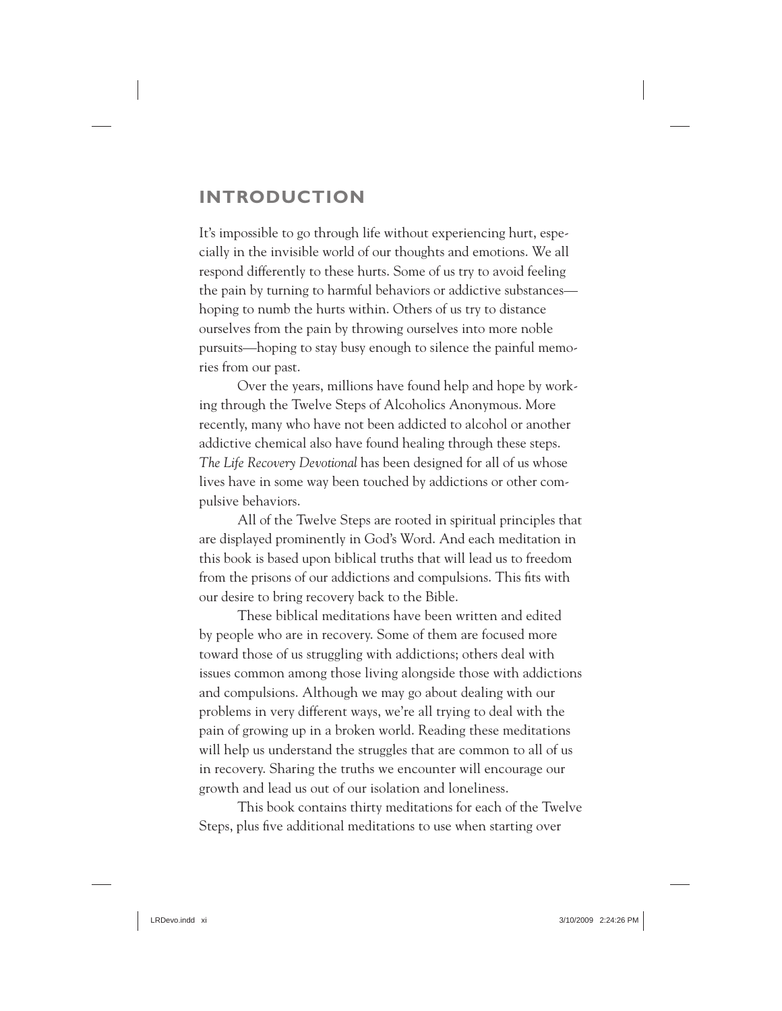# **INTRODUCTION**

It's impossible to go through life without experiencing hurt, especially in the invisible world of our thoughts and emotions. We all respond differently to these hurts. Some of us try to avoid feeling the pain by turning to harmful behaviors or addictive substances hoping to numb the hurts within. Others of us try to distance ourselves from the pain by throwing ourselves into more noble pursuits—hoping to stay busy enough to silence the painful memories from our past.

Over the years, millions have found help and hope by working through the Twelve Steps of Alcoholics Anonymous. More recently, many who have not been addicted to alcohol or another addictive chemical also have found healing through these steps. *The Life Recovery Devotional* has been designed for all of us whose lives have in some way been touched by addictions or other compulsive behaviors.

All of the Twelve Steps are rooted in spiritual principles that are displayed prominently in God's Word. And each meditation in this book is based upon biblical truths that will lead us to freedom from the prisons of our addictions and compulsions. This fits with our desire to bring recovery back to the Bible.

These biblical meditations have been written and edited by people who are in recovery. Some of them are focused more toward those of us struggling with addictions; others deal with issues common among those living alongside those with addictions and compulsions. Although we may go about dealing with our problems in very different ways, we're all trying to deal with the pain of growing up in a broken world. Reading these meditations will help us understand the struggles that are common to all of us in recovery. Sharing the truths we encounter will encourage our growth and lead us out of our isolation and loneliness.

This book contains thirty meditations for each of the Twelve Steps, plus five additional meditations to use when starting over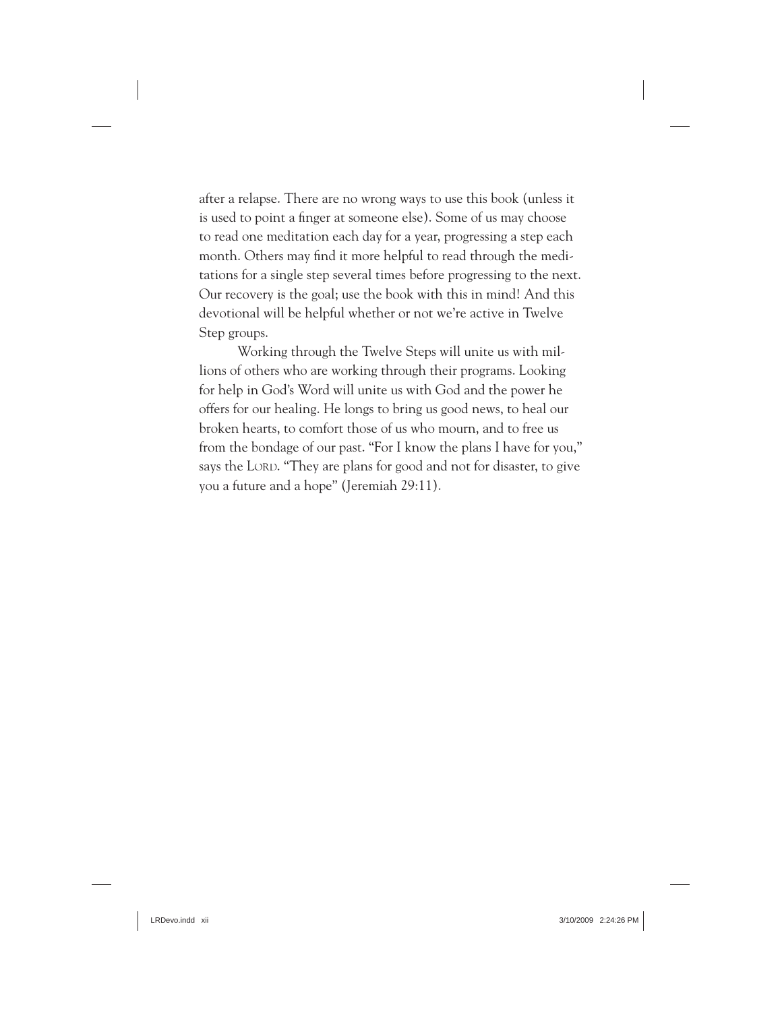after a relapse. There are no wrong ways to use this book (unless it is used to point a finger at someone else). Some of us may choose to read one meditation each day for a year, progressing a step each month. Others may find it more helpful to read through the meditations for a single step several times before progressing to the next. Our recovery is the goal; use the book with this in mind! And this devotional will be helpful whether or not we're active in Twelve Step groups.

Working through the Twelve Steps will unite us with millions of others who are working through their programs. Looking for help in God's Word will unite us with God and the power he offers for our healing. He longs to bring us good news, to heal our broken hearts, to comfort those of us who mourn, and to free us from the bondage of our past. "For I know the plans I have for you," says the LORD. "They are plans for good and not for disaster, to give you a future and a hope" (Jeremiah 29:11).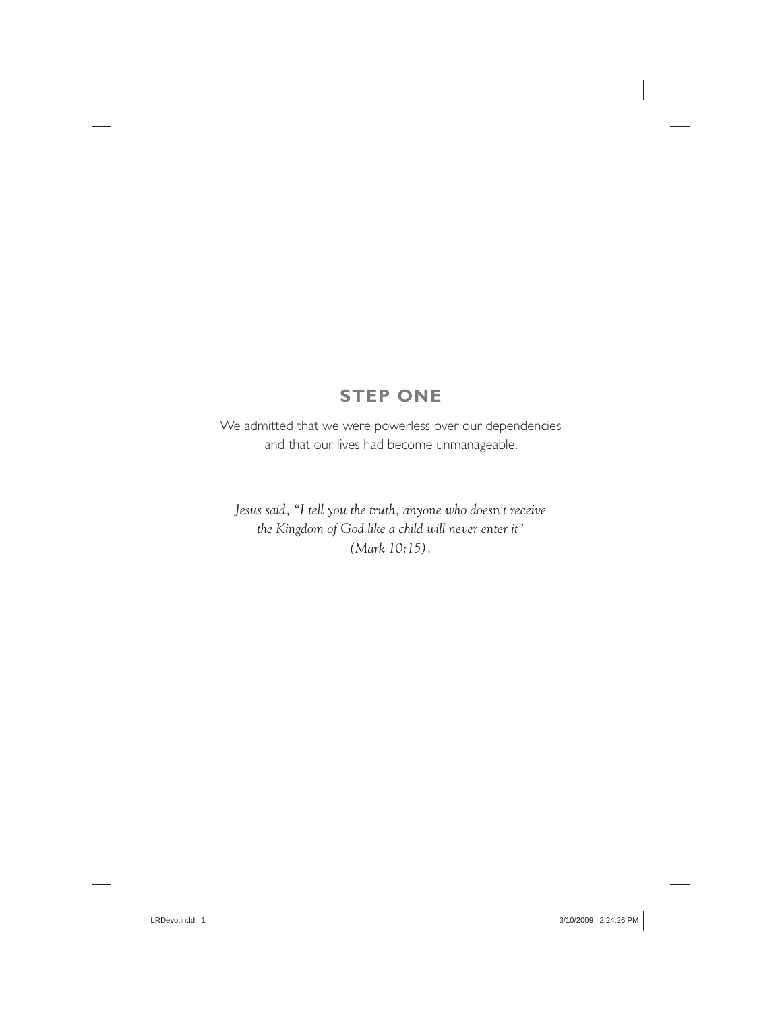## **STEP ONE**

We admitted that we were powerless over our dependencies and that our lives had become unmanageable.

*Jesus said, "I tell you the truth, anyone who doesn't receive the Kingdom of God like a child will never enter it" (Mark 10:15).*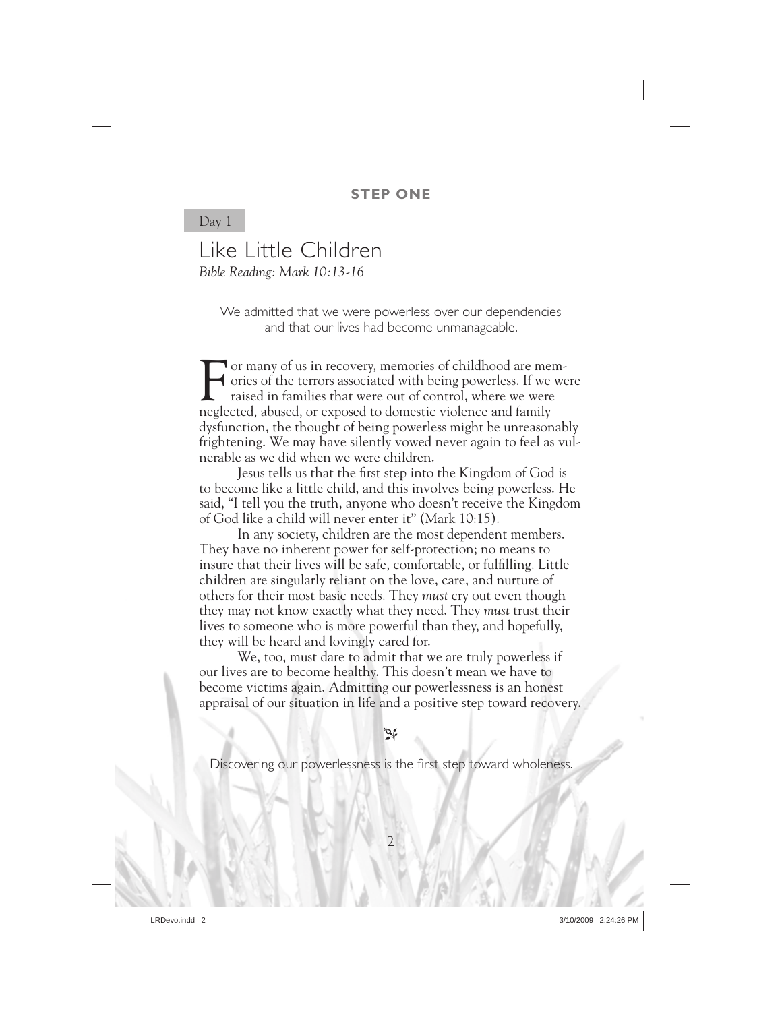### Like Little Children *Bible Reading: Mark 10:13-16*

We admitted that we were powerless over our dependencies and that our lives had become unmanageable.

For many of us in recovery, memories of childhood are memories of the terrors associated with being powerless. If we we<br>raised in families that were out of control, where we were<br>neglected abused or exposed to domestic vio ories of the terrors associated with being powerless. If we were raised in families that were out of control, where we were neglected, abused, or exposed to domestic violence and family dysfunction, the thought of being powerless might be unreasonably frightening. We may have silently vowed never again to feel as vulnerable as we did when we were children.

Jesus tells us that the first step into the Kingdom of God is to become like a little child, and this involves being powerless. He said, "I tell you the truth, anyone who doesn't receive the Kingdom of God like a child will never enter it" (Mark 10:15).

In any society, children are the most dependent members. They have no inherent power for self-protection; no means to insure that their lives will be safe, comfortable, or fulfilling. Little children are singularly reliant on the love, care, and nurture of others for their most basic needs. They *must* cry out even though they may not know exactly what they need. They *must* trust their lives to someone who is more powerful than they, and hopefully, they will be heard and lovingly cared for.

We, too, must dare to admit that we are truly powerless if our lives are to become healthy. This doesn't mean we have to become victims again. Admitting our powerlessness is an honest appraisal of our situation in life and a positive step toward recovery.

#### $\mathbf{v}$

Discovering our powerlessness is the first step toward wholeness.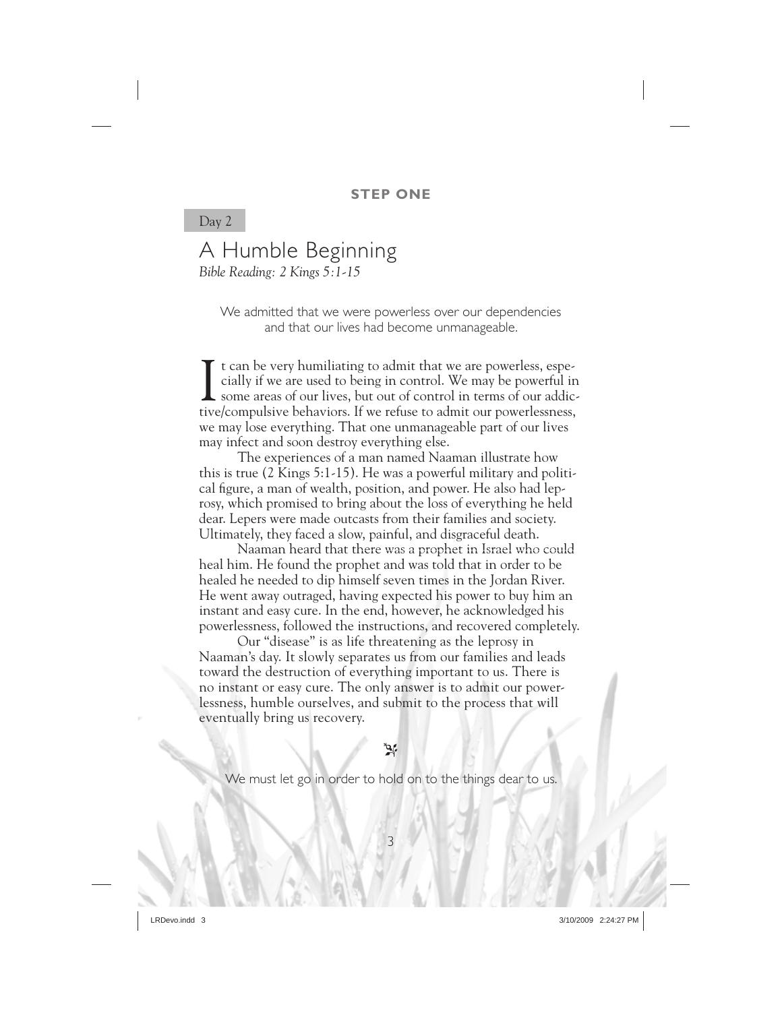### A Humble Beginning *Bible Reading: 2 Kings 5:1-15*

We admitted that we were powerless over our dependencies and that our lives had become unmanageable.

I t can be very humiliating to admit that we are powerless, especially if we are used to being in control. We may be powerful in some areas of our lives, but out of control in terms of our addictive/compulsive behaviors. If we refuse to admit our powerlessness, we may lose everything. That one unmanageable part of our lives may infect and soon destroy everything else.

The experiences of a man named Naaman illustrate how this is true (2 Kings 5:1-15). He was a powerful military and political figure, a man of wealth, position, and power. He also had leprosy, which promised to bring about the loss of everything he held dear. Lepers were made outcasts from their families and society. Ultimately, they faced a slow, painful, and disgraceful death.

Naaman heard that there was a prophet in Israel who could heal him. He found the prophet and was told that in order to be healed he needed to dip himself seven times in the Jordan River. He went away outraged, having expected his power to buy him an instant and easy cure. In the end, however, he acknowledged his powerlessness, followed the instructions, and recovered completely.

Our "disease" is as life threatening as the leprosy in Naaman's day. It slowly separates us from our families and leads toward the destruction of everything important to us. There is no instant or easy cure. The only answer is to admit our powerlessness, humble ourselves, and submit to the process that will eventually bring us recovery.

 $\mathcal{L}$ 

We must let go in order to hold on to the things dear to us.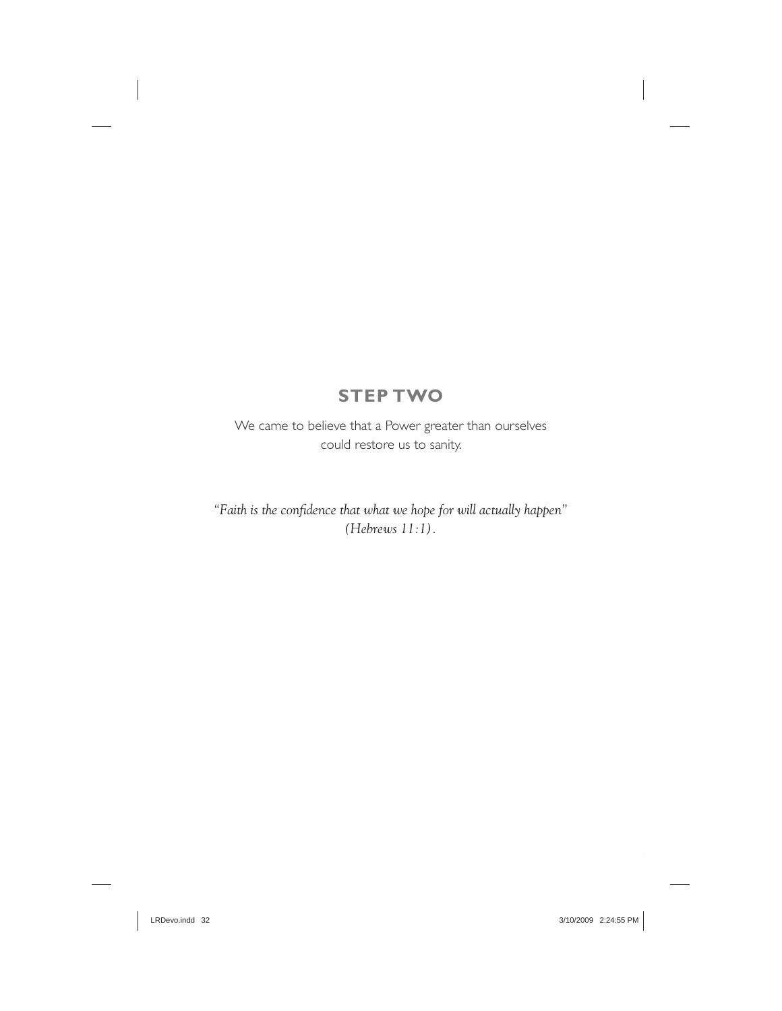# **STEP TWO**

We came to believe that a Power greater than ourselves could restore us to sanity.

"Faith is the confidence that what we hope for will actually happen" *(Hebrews 11:1).*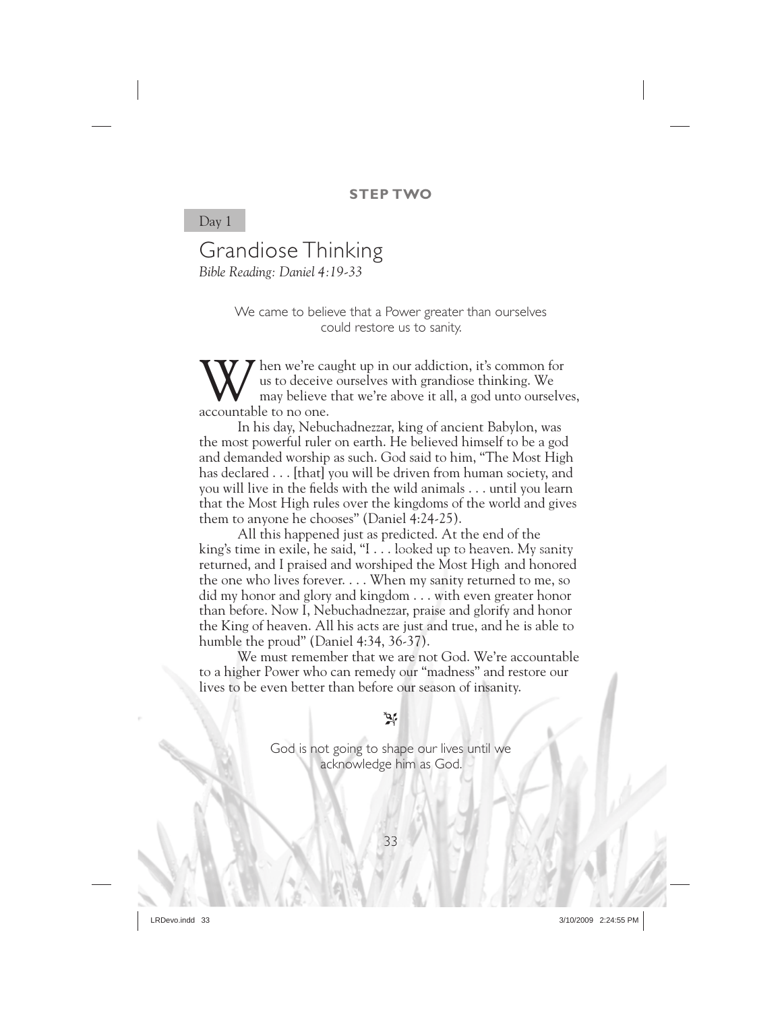#### Grandiose Thinking *Bible Reading: Daniel 4:19-33*

We came to believe that a Power greater than ourselves could restore us to sanity.

When we're caught up in our addiction, it's common for<br>us to deceive ourselves with grandiose thinking. We<br>accountable to no one us to deceive ourselves with grandiose thinking. We accountable to no one.

In his day, Nebuchadnezzar, king of ancient Babylon, was the most powerful ruler on earth. He believed himself to be a god and demanded worship as such. God said to him, "The Most High has declared . . . [that] you will be driven from human society, and you will live in the fields with the wild animals  $\ldots$  until you learn that the Most High rules over the kingdoms of the world and gives them to anyone he chooses" (Daniel 4:24-25).

All this happened just as predicted. At the end of the king's time in exile, he said, "I . . . looked up to heaven. My sanity returned, and I praised and worshiped the Most High and honored the one who lives forever. . . . When my sanity returned to me, so did my honor and glory and kingdom . . . with even greater honor than before. Now I, Nebuchadnezzar, praise and glorify and honor the King of heaven. All his acts are just and true, and he is able to humble the proud" (Daniel 4:34, 36-37).

We must remember that we are not God. We're accountable to a higher Power who can remedy our "madness" and restore our lives to be even better than before our season of insanity.

#### -

God is not going to shape our lives until we acknowledge him as God.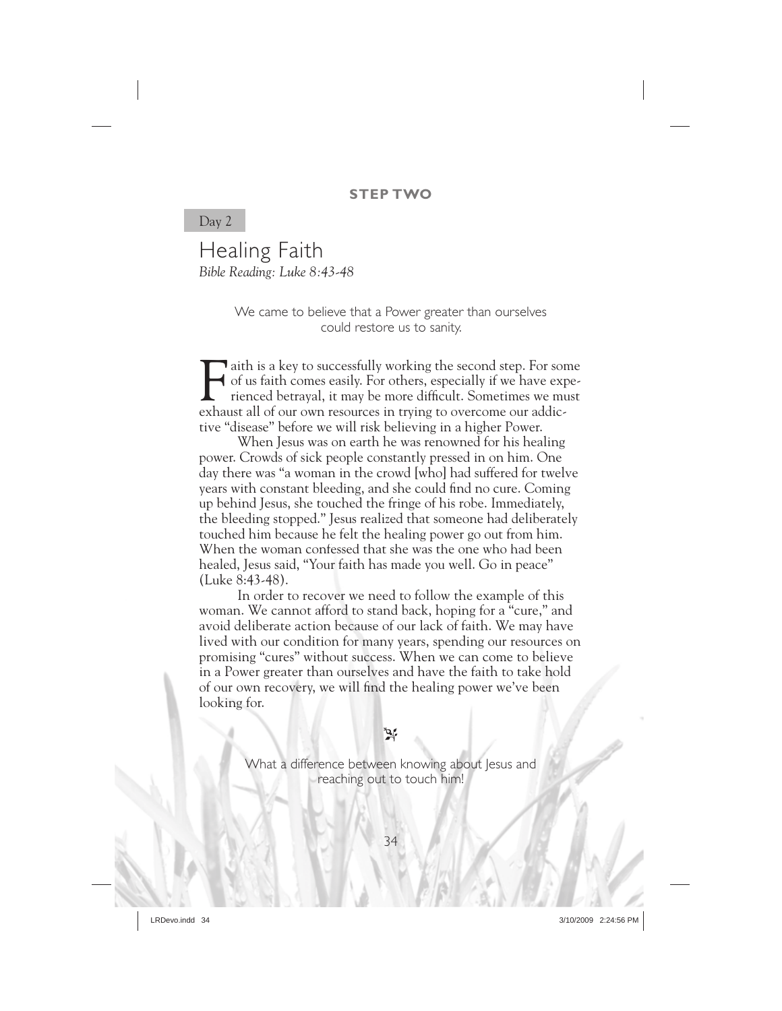#### **STEP TWO**

Day 2

Healing Faith *Bible Reading: Luke 8:43-48*

> We came to believe that a Power greater than ourselves could restore us to sanity.

Faith is a key to successfully working the second step. For some<br>of us faith comes easily. For others, especially if we have experienced betrayal, it may be more difficult. Sometimes we must<br>expanse all of our own resource  $\blacktriangleleft$  of us faith comes easily. For others, especially if we have expeexhaust all of our own resources in trying to overcome our addictive "disease" before we will risk believing in a higher Power.

When Jesus was on earth he was renowned for his healing power. Crowds of sick people constantly pressed in on him. One day there was "a woman in the crowd [who] had suffered for twelve years with constant bleeding, and she could find no cure. Coming up behind Jesus, she touched the fringe of his robe. Immediately, the bleeding stopped." Jesus realized that someone had deliberately touched him because he felt the healing power go out from him. When the woman confessed that she was the one who had been healed, Jesus said, "Your faith has made you well. Go in peace" (Luke 8:43-48).

In order to recover we need to follow the example of this woman. We cannot afford to stand back, hoping for a "cure," and avoid deliberate action because of our lack of faith. We may have lived with our condition for many years, spending our resources on promising "cures" without success. When we can come to believe in a Power greater than ourselves and have the faith to take hold of our own recovery, we will find the healing power we've been looking for.

 $\mathbf{v}$ 

What a difference between knowing about Jesus and reaching out to touch him!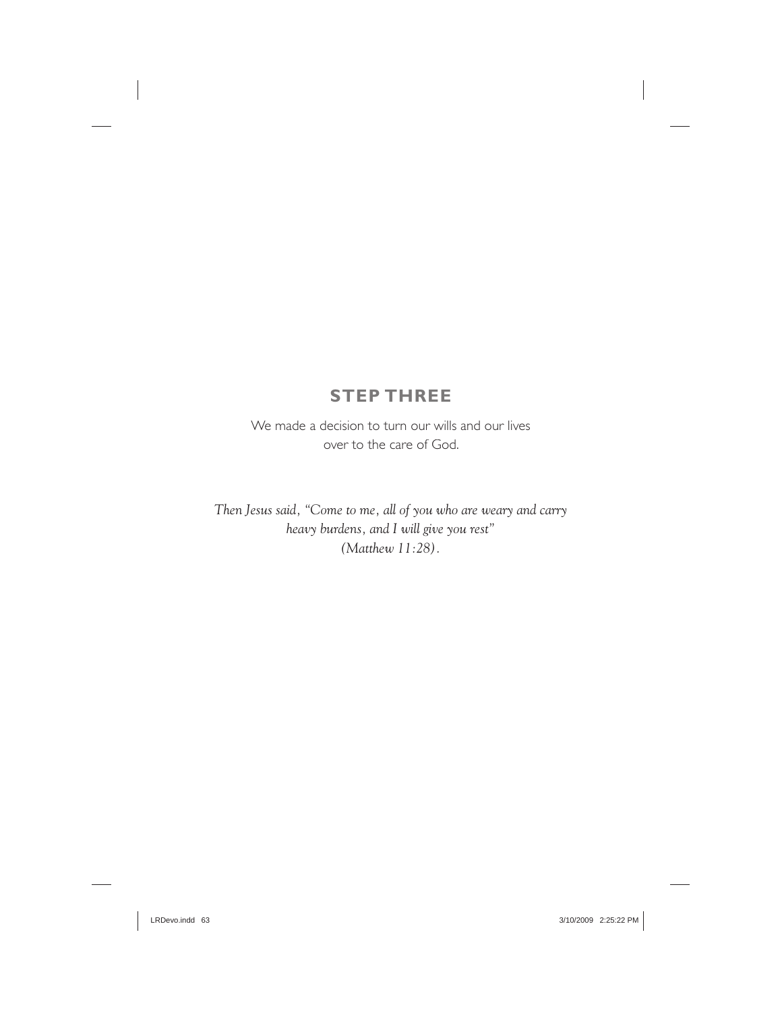### **STEP THREE**

We made a decision to turn our wills and our lives over to the care of God.

*Then Jesus said, "Come to me, all of you who are weary and carry heavy burdens, and I will give you rest" (Matthew 11:28).*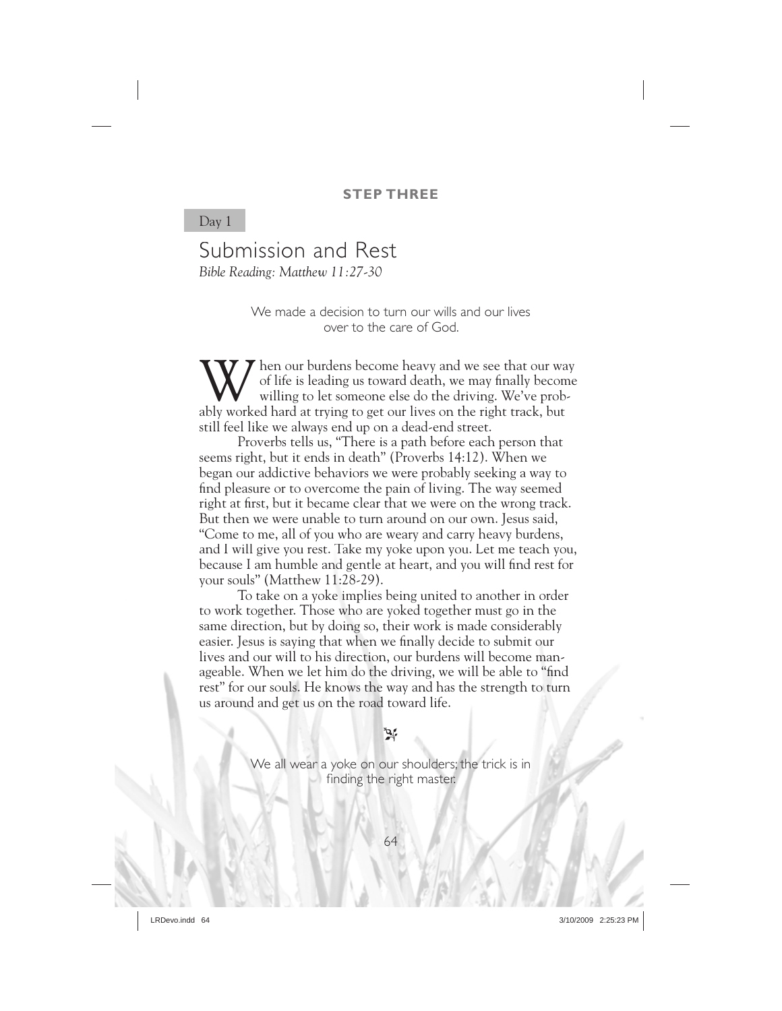### Submission and Rest *Bible Reading: Matthew 11:27-30*

We made a decision to turn our wills and our lives over to the care of God.

When our burdens become heavy and we see that our way<br>of life is leading us toward death, we may finally become<br>willing to let someone else do the driving. We've prob-<br>ably worked bard at trying to get our lives on the rig of life is leading us toward death, we may finally become willing to let someone else do the driving. We've probably worked hard at trying to get our lives on the right track, but still feel like we always end up on a dead-end street.

Proverbs tells us, "There is a path before each person that seems right, but it ends in death" (Proverbs 14:12). When we began our addictive behaviors we were probably seeking a way to find pleasure or to overcome the pain of living. The way seemed right at first, but it became clear that we were on the wrong track. But then we were unable to turn around on our own. Jesus said, "Come to me, all of you who are weary and carry heavy burdens, and I will give you rest. Take my yoke upon you. Let me teach you, because I am humble and gentle at heart, and you will find rest for your souls" (Matthew 11:28-29).

To take on a yoke implies being united to another in order to work together. Those who are yoked together must go in the same direction, but by doing so, their work is made considerably easier. Jesus is saying that when we finally decide to submit our lives and our will to his direction, our burdens will become manageable. When we let him do the driving, we will be able to "find rest" for our souls. He knows the way and has the strength to turn us around and get us on the road toward life.

 $\mathbf{v}$ 

 We all wear a yoke on our shoulders; the trick is in finding the right master.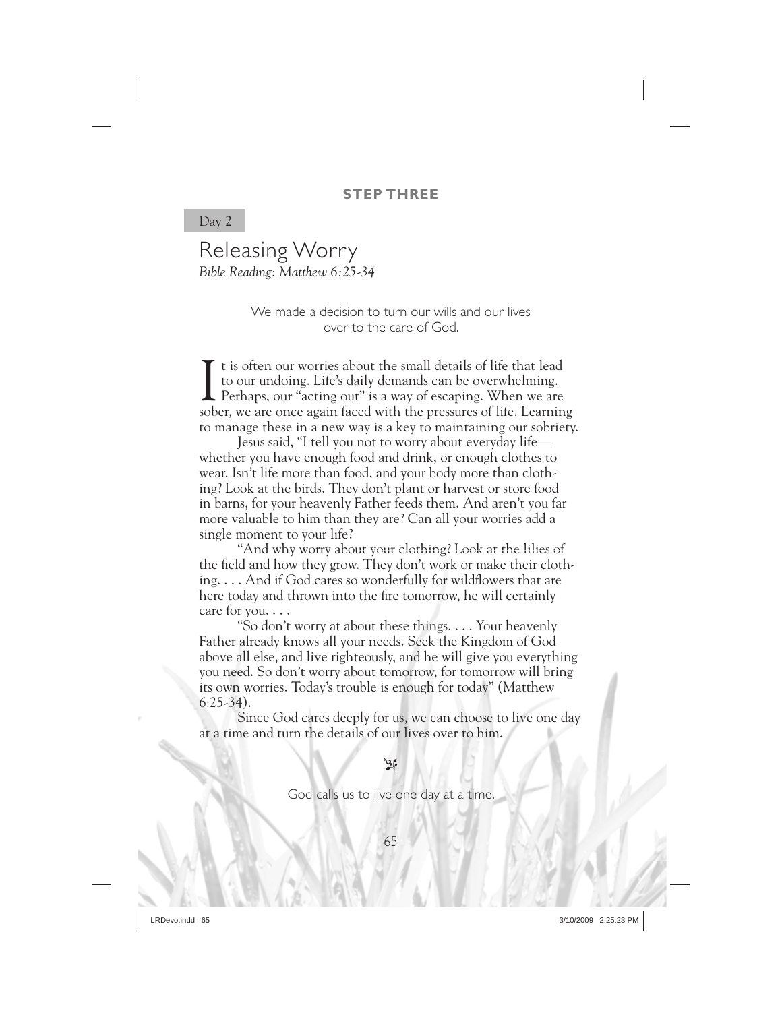#### **STEP THREE**

Day 2

Releasing Worry *Bible Reading: Matthew 6:25-34*

> We made a decision to turn our wills and our lives over to the care of God.

I t is often our worries about the small details of life that lead to our undoing. Life's daily demands can be overwhelming. Perhaps, our "acting out" is a way of escaping. When we are sober, we are once again faced with the pressures of life. Learning to manage these in a new way is a key to maintaining our sobriety.

Jesus said, "I tell you not to worry about everyday life whether you have enough food and drink, or enough clothes to wear. Isn't life more than food, and your body more than clothing? Look at the birds. They don't plant or harvest or store food in barns, for your heavenly Father feeds them. And aren't you far more valuable to him than they are? Can all your worries add a single moment to your life?

"And why worry about your clothing? Look at the lilies of the field and how they grow. They don't work or make their clothing.  $\dots$  And if God cares so wonderfully for wildflowers that are here today and thrown into the fire tomorrow, he will certainly care for you. . . .

"So don't worry at about these things. . . . Your heavenly Father already knows all your needs. Seek the Kingdom of God above all else, and live righteously, and he will give you everything you need. So don't worry about tomorrow, for tomorrow will bring its own worries. Today's trouble is enough for today" (Matthew 6:25-34).

Since God cares deeply for us, we can choose to live one day at a time and turn the details of our lives over to him.

 $\mathcal{L}$ 

God calls us to live one day at a time.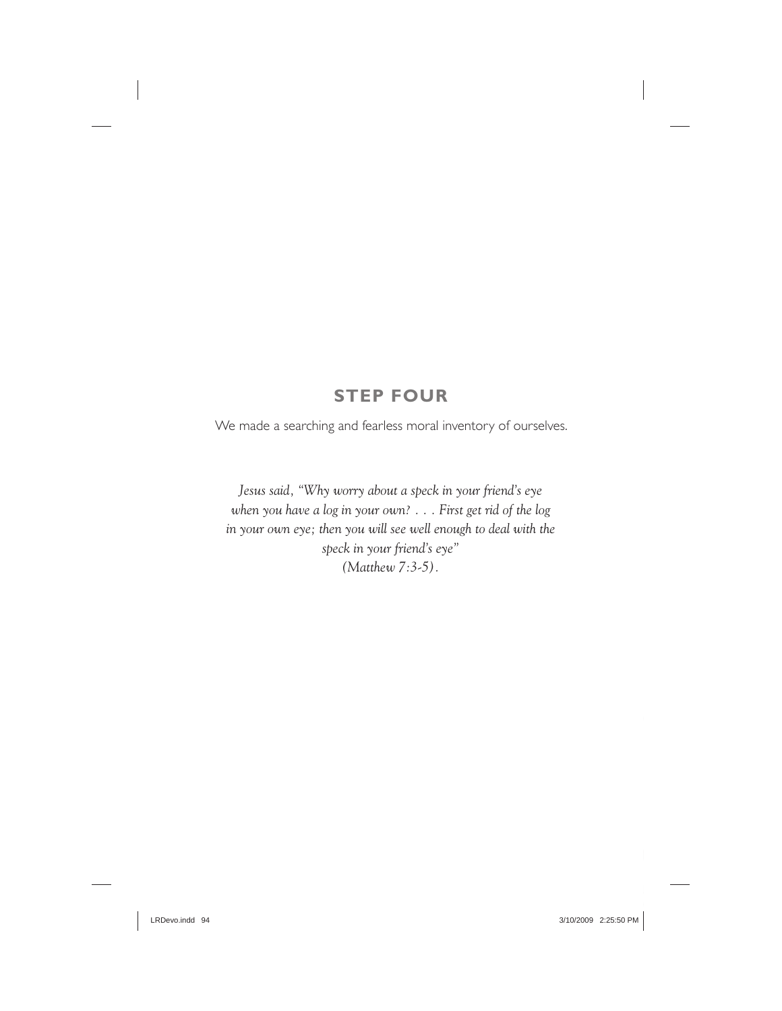## **STEP FOUR**

We made a searching and fearless moral inventory of ourselves.

*Jesus said, "Why worry about a speck in your friend's eye when you have a log in your own? . . . First get rid of the log in your own eye; then you will see well enough to deal with the speck in your friend's eye" (Matthew 7:3-5).*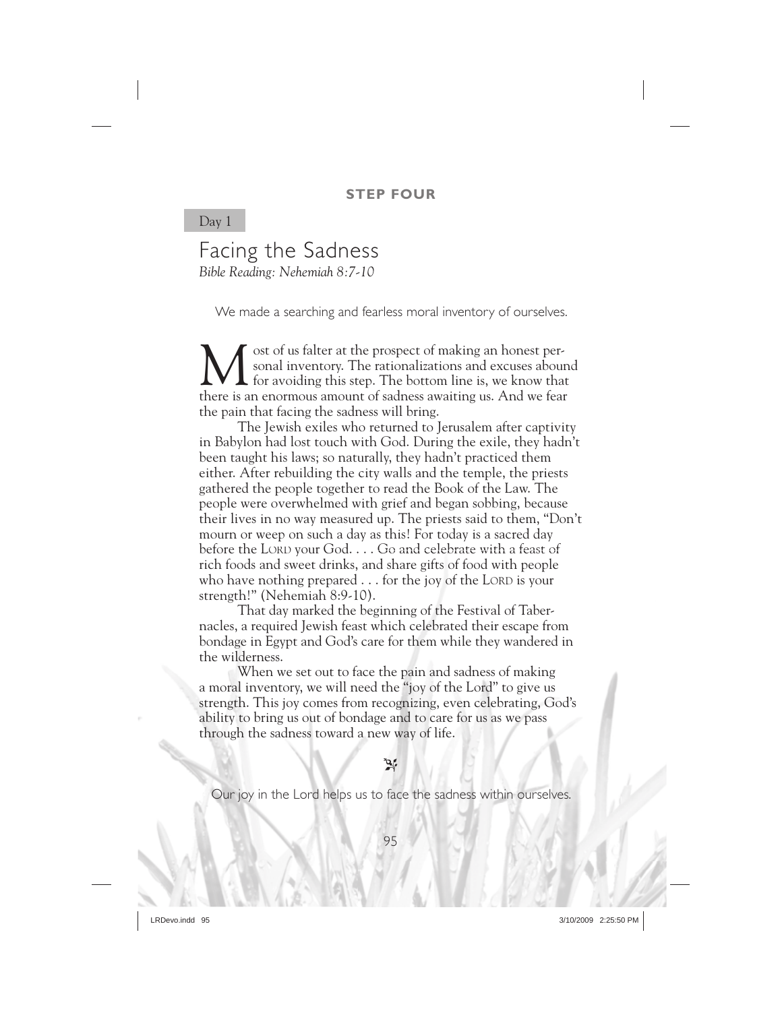# Facing the Sadness *Bible Reading: Nehemiah 8:7-10*

We made a searching and fearless moral inventory of ourselves.

**M** ost of us falter at the prospect of making an honest per-<br>for avoiding this step. The bottom line is, we know that<br>there is an enormous amount of sadness awaiting us. And we fear sonal inventory. The rationalizations and excuses abound there is an enormous amount of sadness awaiting us. And we fear the pain that facing the sadness will bring.

The Jewish exiles who returned to Jerusalem after captivity in Babylon had lost touch with God. During the exile, they hadn't been taught his laws; so naturally, they hadn't practiced them either. After rebuilding the city walls and the temple, the priests gathered the people together to read the Book of the Law. The people were overwhelmed with grief and began sobbing, because their lives in no way measured up. The priests said to them, "Don't mourn or weep on such a day as this! For today is a sacred day before the LORD your  $God. \ldots$  Go and celebrate with a feast of rich foods and sweet drinks, and share gifts of food with people who have nothing prepared . . . for the joy of the LORD is your strength!" (Nehemiah 8:9-10).

That day marked the beginning of the Festival of Tabernacles, a required Jewish feast which celebrated their escape from bondage in Egypt and God's care for them while they wandered in the wilderness.

When we set out to face the pain and sadness of making a moral inventory, we will need the "joy of the Lord" to give us strength. This joy comes from recognizing, even celebrating, God's ability to bring us out of bondage and to care for us as we pass through the sadness toward a new way of life.

#### $\mathbf{a}$

Our joy in the Lord helps us to face the sadness within ourselves.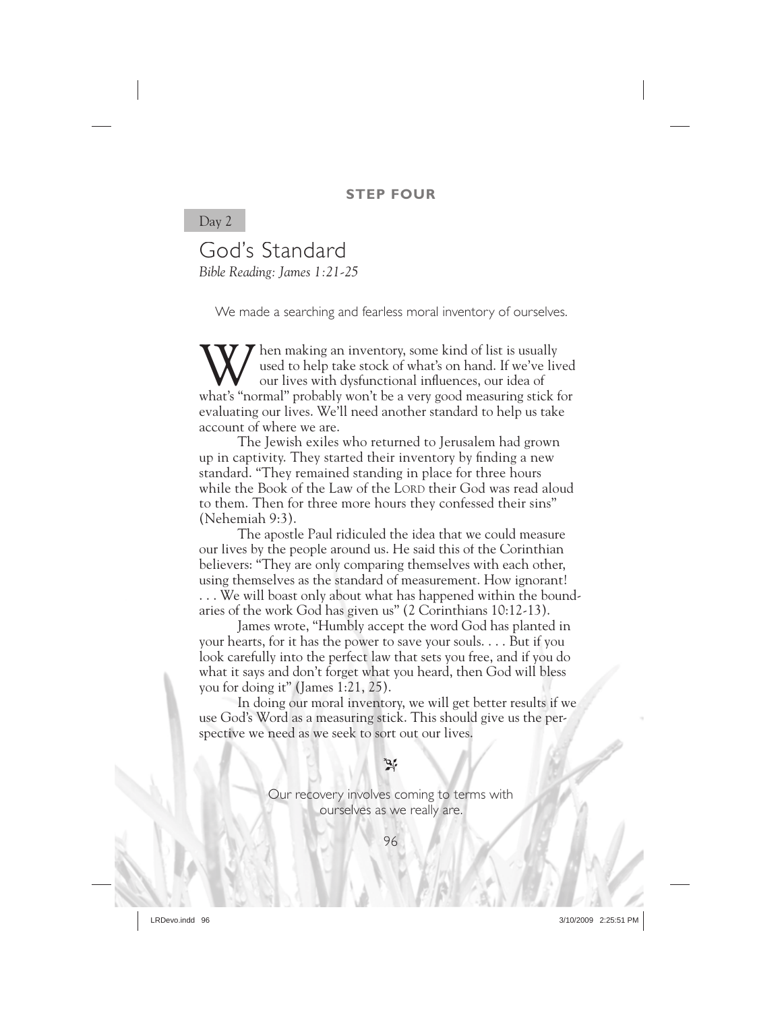# God's Standard *Bible Reading: James 1:21-25*

We made a searching and fearless moral inventory of ourselves.

W hen making an inventory, some kind of list is usually<br>used to help take stock of what's on hand. If we've live<br>use with dysfunctional influences, our idea of<br>what's "pormal" probably won't be a very good measuring stick used to help take stock of what's on hand. If we've lived our lives with dysfunctional influences, our idea of what's "normal" probably won't be a very good measuring stick for evaluating our lives. We'll need another standard to help us take account of where we are.

The Jewish exiles who returned to Jerusalem had grown up in captivity. They started their inventory by finding a new standard. "They remained standing in place for three hours while the Book of the Law of the LORD their God was read aloud to them. Then for three more hours they confessed their sins" (Nehemiah 9:3).

The apostle Paul ridiculed the idea that we could measure our lives by the people around us. He said this of the Corinthian believers: "They are only comparing themselves with each other, using themselves as the standard of measurement. How ignorant! . . . We will boast only about what has happened within the boundaries of the work God has given us" (2 Corinthians 10:12-13).

James wrote, "Humbly accept the word God has planted in your hearts, for it has the power to save your souls. . . . But if you look carefully into the perfect law that sets you free, and if you do what it says and don't forget what you heard, then God will bless you for doing it" (James 1:21, 25).

In doing our moral inventory, we will get better results if we use God's Word as a measuring stick. This should give us the perspective we need as we seek to sort out our lives.

#### $\mathcal{A}$

 Our recovery involves coming to terms with ourselves as we really are.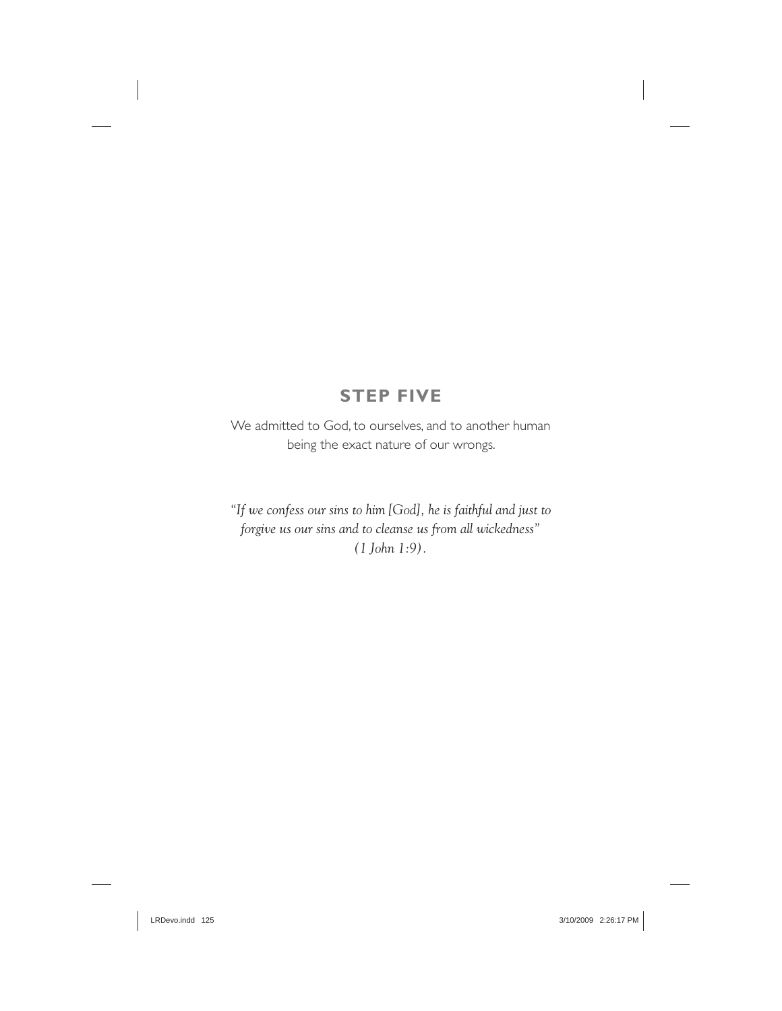## **STEP FIVE**

We admitted to God, to ourselves, and to another human being the exact nature of our wrongs.

*"If we confess our sins to him [God], he is faithful and just to forgive us our sins and to cleanse us from all wickedness" (1 John 1:9).*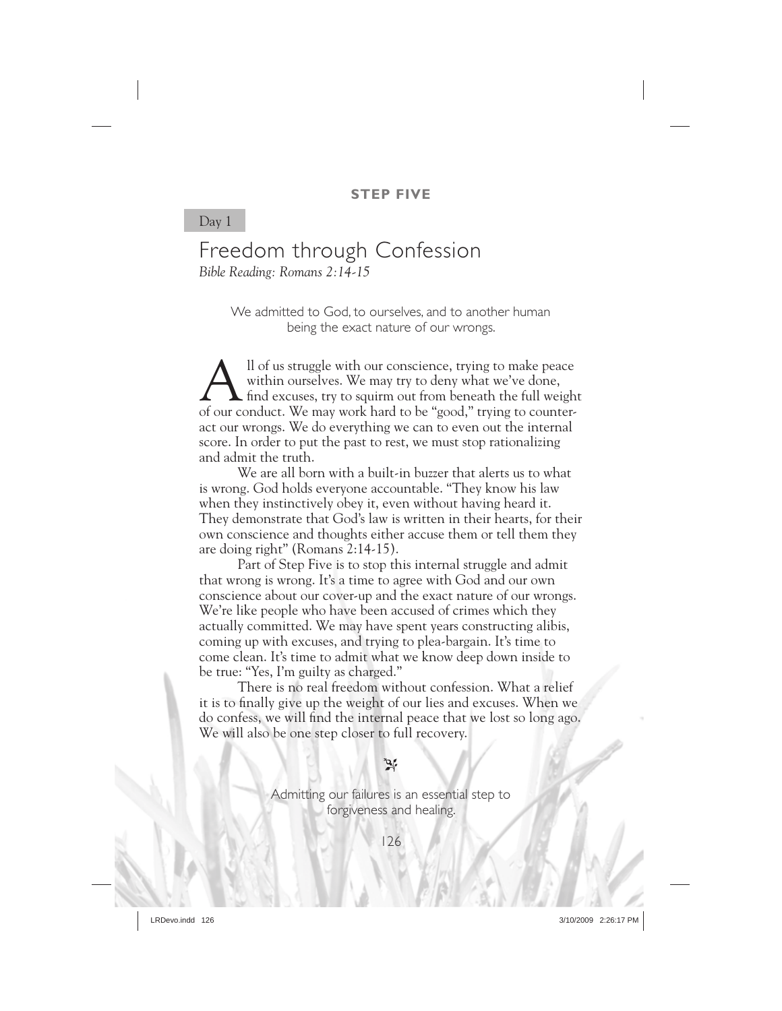#### **STEP FIVE**

Day 1

# Freedom through Confession *Bible Reading: Romans 2:14-15*

We admitted to God, to ourselves, and to another human being the exact nature of our wrongs.

All of us struggle with our conscience, trying to make peace<br>within ourselves. We may try to deny what we've done,<br>find excuses, try to squirm out from beneath the full weight<br>of our conduct. We may work hard to be "good" within ourselves. We may try to deny what we've done, of our conduct. We may work hard to be "good," trying to counteract our wrongs. We do everything we can to even out the internal score. In order to put the past to rest, we must stop rationalizing and admit the truth.

We are all born with a built-in buzzer that alerts us to what is wrong. God holds everyone accountable. "They know his law when they instinctively obey it, even without having heard it. They demonstrate that God's law is written in their hearts, for their own conscience and thoughts either accuse them or tell them they are doing right" (Romans 2:14-15).

Part of Step Five is to stop this internal struggle and admit that wrong is wrong. It's a time to agree with God and our own conscience about our cover-up and the exact nature of our wrongs. We're like people who have been accused of crimes which they actually committed. We may have spent years constructing alibis, coming up with excuses, and trying to plea-bargain. It's time to come clean. It's time to admit what we know deep down inside to be true: "Yes, I'm guilty as charged."

There is no real freedom without confession. What a relief it is to finally give up the weight of our lies and excuses. When we do confess, we will find the internal peace that we lost so long ago. We will also be one step closer to full recovery.

ት

 Admitting our failures is an essential step to forgiveness and healing.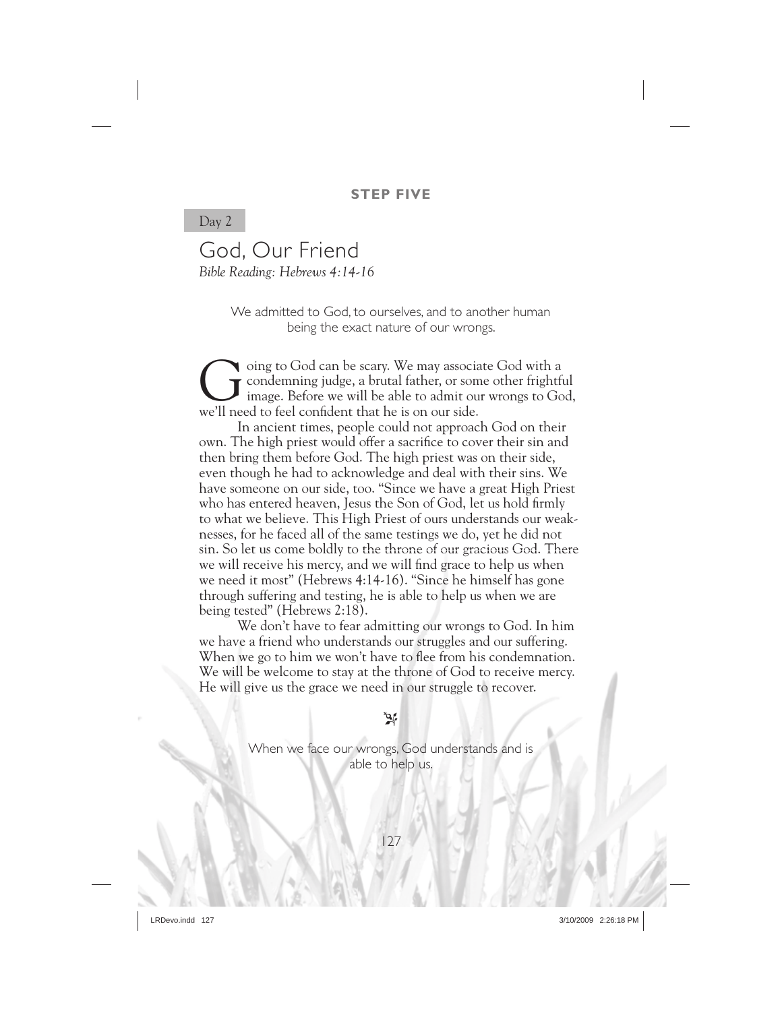#### **STEP FIVE**

Day 2

# God, Our Friend *Bible Reading: Hebrews 4:14-16*

We admitted to God, to ourselves, and to another human being the exact nature of our wrongs.

Going to God can be scary. We may associate God with a condemning judge, a brutal father, or some other fright<br>image. Before we will be able to admit our wrongs to Go<br>we'll need to feel confident that be is on our side condemning judge, a brutal father, or some other frightful image. Before we will be able to admit our wrongs to God, we'll need to feel confident that he is on our side.

In ancient times, people could not approach God on their own. The high priest would offer a sacrifice to cover their sin and then bring them before God. The high priest was on their side, even though he had to acknowledge and deal with their sins. We have someone on our side, too. "Since we have a great High Priest who has entered heaven, Jesus the Son of God, let us hold firmly to what we believe. This High Priest of ours understands our weaknesses, for he faced all of the same testings we do, yet he did not sin. So let us come boldly to the throne of our gracious God. There we will receive his mercy, and we will find grace to help us when we need it most" (Hebrews 4:14-16). "Since he himself has gone through suffering and testing, he is able to help us when we are being tested" (Hebrews 2:18).

We don't have to fear admitting our wrongs to God. In him we have a friend who understands our struggles and our suffering. When we go to him we won't have to flee from his condemnation. We will be welcome to stay at the throne of God to receive mercy. He will give us the grace we need in our struggle to recover.

#### -

 When we face our wrongs, God understands and is able to help us.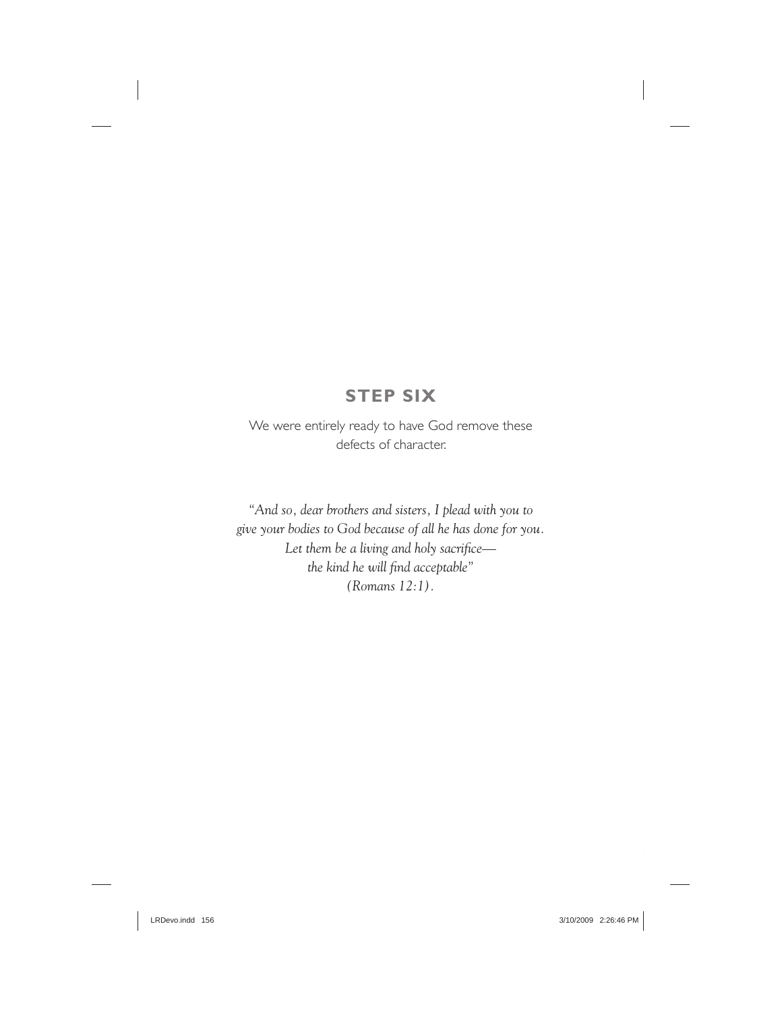## **STEP SIX**

We were entirely ready to have God remove these defects of character.

*"And so, dear brothers and sisters, I plead with you to give your bodies to God because of all he has done for you.*  Let them be a living and holy sacrifice*the kind he will find acceptable" (Romans 12:1).*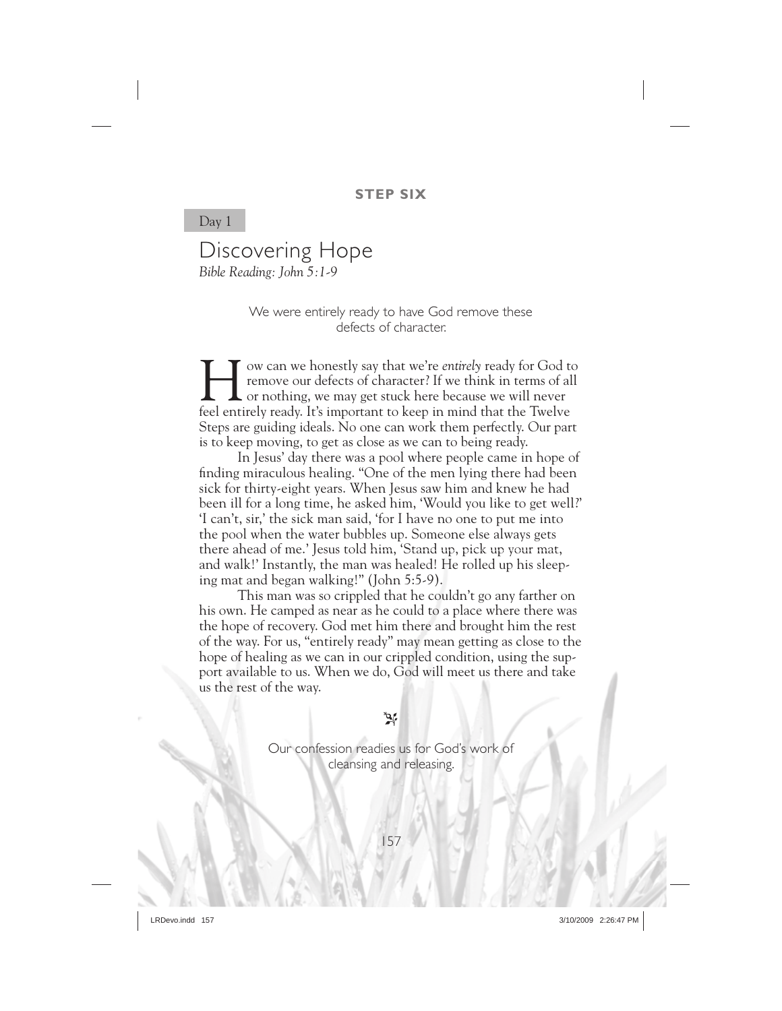#### Discovering Hope *Bible Reading: John 5:1-9*

We were entirely ready to have God remove these defects of character.

Fow can we honestly say that we're *entirely* ready for God to<br>
or nothing, we may get stuck here because we will never<br>
feel entirely ready. It's important to keep in mind that the Twelve remove our defects of character? If we think in terms of all feel entirely ready. It's important to keep in mind that the Twelve Steps are guiding ideals. No one can work them perfectly. Our part is to keep moving, to get as close as we can to being ready.

In Jesus' day there was a pool where people came in hope of finding miraculous healing. "One of the men lying there had been sick for thirty-eight years. When Jesus saw him and knew he had been ill for a long time, he asked him, 'Would you like to get well?' 'I can't, sir,' the sick man said, 'for I have no one to put me into the pool when the water bubbles up. Someone else always gets there ahead of me.' Jesus told him, 'Stand up, pick up your mat, and walk!' Instantly, the man was healed! He rolled up his sleeping mat and began walking!" (John 5:5-9).

This man was so crippled that he couldn't go any farther on his own. He camped as near as he could to a place where there was the hope of recovery. God met him there and brought him the rest of the way. For us, "entirely ready" may mean getting as close to the hope of healing as we can in our crippled condition, using the support available to us. When we do, God will meet us there and take us the rest of the way.

-

 Our confession readies us for God's work of cleansing and releasing.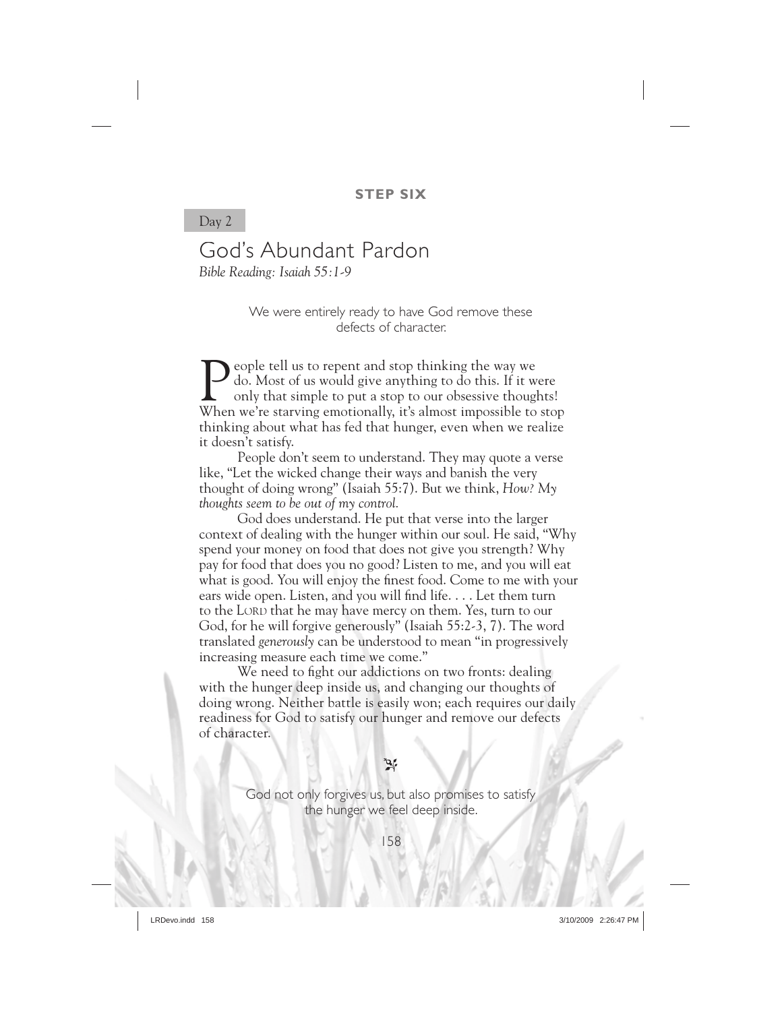# God's Abundant Pardon

*Bible Reading: Isaiah 55:1-9*

We were entirely ready to have God remove these defects of character.

eople tell us to repent and stop thinking the way we do. Most of us would give anything to do this. If it were only that simple to put a stop to our obsessive thoughts! When we're starving emotionally, it's almost impossible to stop thinking about what has fed that hunger, even when we realize it doesn't satisfy.

People don't seem to understand. They may quote a verse like, "Let the wicked change their ways and banish the very thought of doing wrong" (Isaiah 55:7). But we think, *How? My thoughts seem to be out of my control*.

God does understand. He put that verse into the larger context of dealing with the hunger within our soul. He said, "Why spend your money on food that does not give you strength? Why pay for food that does you no good? Listen to me, and you will eat what is good. You will enjoy the finest food. Come to me with your ears wide open. Listen, and you will find life.  $\dots$  Let them turn to the LORD that he may have mercy on them. Yes, turn to our God, for he will forgive generously" (Isaiah 55:2-3, 7). The word translated *generously* can be understood to mean "in progressively increasing measure each time we come."

We need to fight our addictions on two fronts: dealing with the hunger deep inside us, and changing our thoughts of doing wrong. Neither battle is easily won; each requires our daily readiness for God to satisfy our hunger and remove our defects of character.

ት

 God not only forgives us, but also promises to satisfy the hunger we feel deep inside.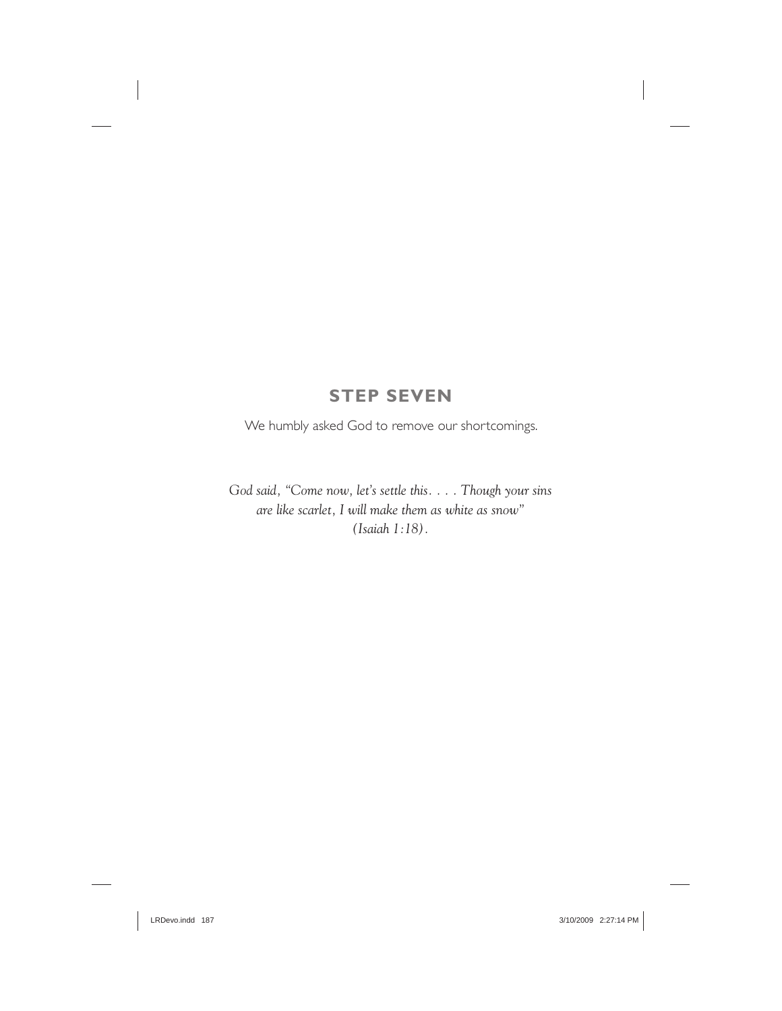### **STEP SEVEN**

We humbly asked God to remove our shortcomings.

*God said, "Come now, let's settle this. . . . Though your sins are like scarlet, I will make them as white as snow" (Isaiah 1:18).*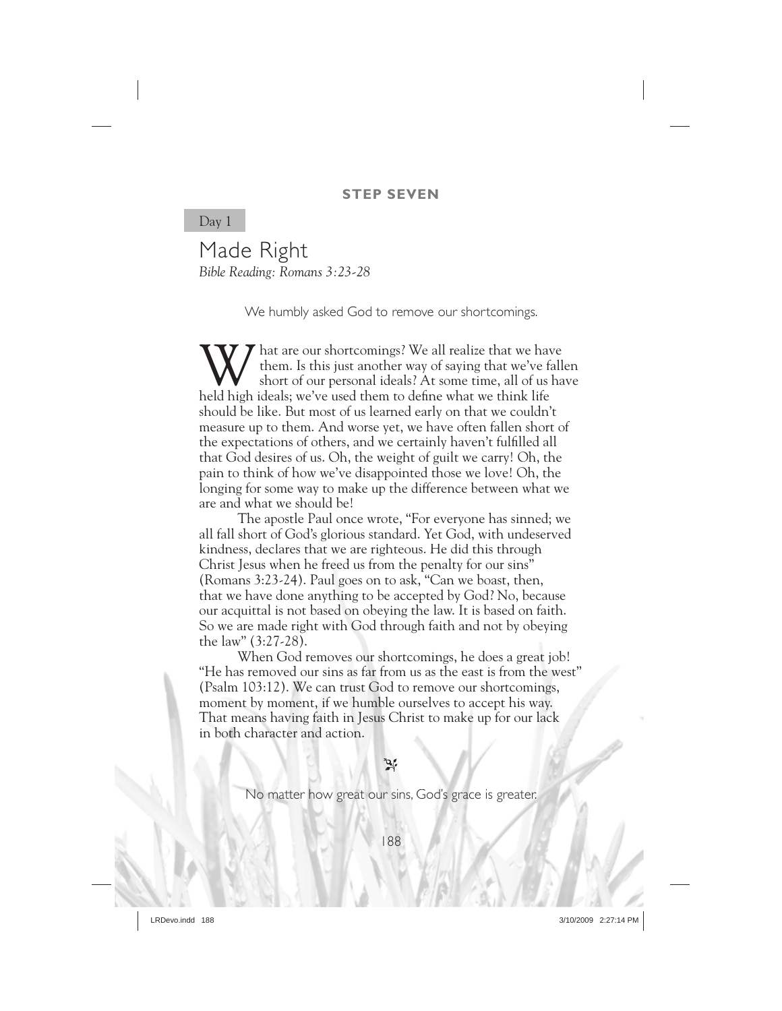#### **STEP SEVEN**

Day 1

Made Right *Bible Reading: Romans 3:23-28*

We humbly asked God to remove our shortcomings.

W hat are our shortcomings? We all realize that we have<br>them. Is this just another way of saying that we've fall<br>short of our personal ideals? At some time, all of us had high ideals: we've used them to define what we thin them. Is this just another way of saying that we've fallen short of our personal ideals? At some time, all of us have held high ideals; we've used them to define what we think life should be like. But most of us learned early on that we couldn't measure up to them. And worse yet, we have often fallen short of the expectations of others, and we certainly haven't fulfilled all that God desires of us. Oh, the weight of guilt we carry! Oh, the pain to think of how we've disappointed those we love! Oh, the longing for some way to make up the difference between what we are and what we should be!

The apostle Paul once wrote, "For everyone has sinned; we all fall short of God's glorious standard. Yet God, with undeserved kindness, declares that we are righteous. He did this through Christ Jesus when he freed us from the penalty for our sins" (Romans 3:23-24). Paul goes on to ask, "Can we boast, then, that we have done anything to be accepted by God? No, because our acquittal is not based on obeying the law. It is based on faith. So we are made right with God through faith and not by obeying the law" (3:27-28).

When God removes our shortcomings, he does a great job! "He has removed our sins as far from us as the east is from the west" (Psalm 103:12). We can trust God to remove our shortcomings, moment by moment, if we humble ourselves to accept his way. That means having faith in Jesus Christ to make up for our lack in both character and action.

#### $\mathbf{z}$

No matter how great our sins, God's grace is greater.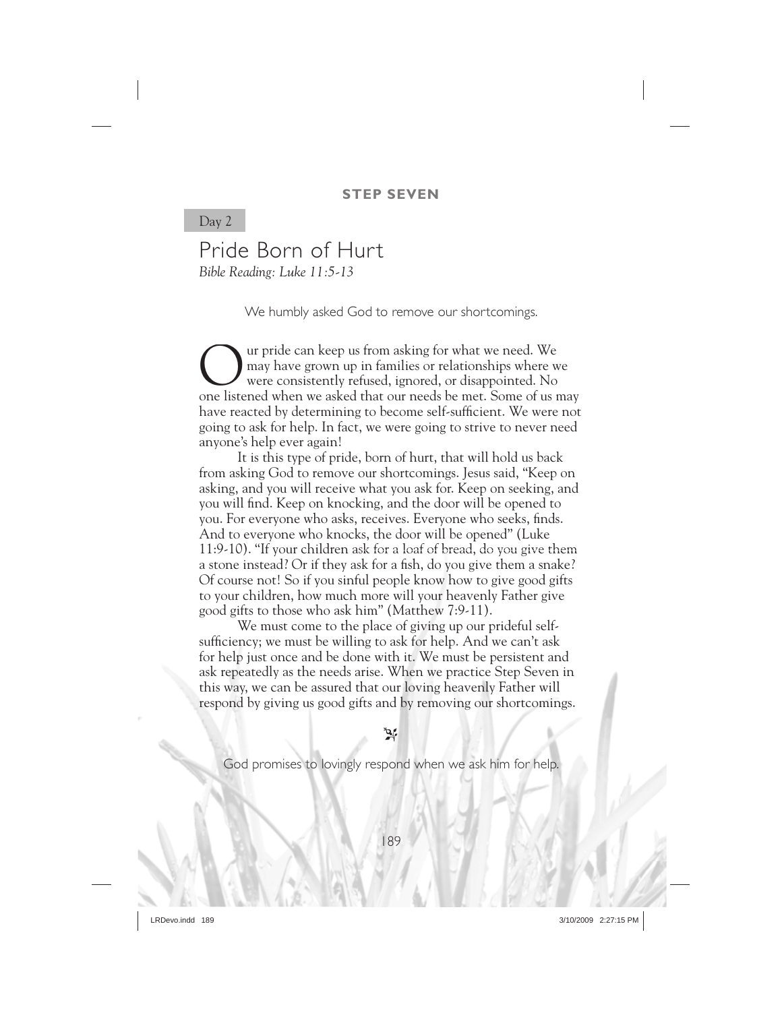## Pride Born of Hurt *Bible Reading: Luke 11:5-13*

We humbly asked God to remove our shortcomings.

Our pride can keep us from asking for what we need. We may have grown up in families or relationships where v<br>were consistently refused, ignored, or disappointed. No<br>one listened when we asked that our needs be met. Some o may have grown up in families or relationships where we were consistently refused, ignored, or disappointed. No one listened when we asked that our needs be met. Some of us may have reacted by determining to become self-sufficient. We were not going to ask for help. In fact, we were going to strive to never need anyone's help ever again!

It is this type of pride, born of hurt, that will hold us back from asking God to remove our shortcomings. Jesus said, "Keep on asking, and you will receive what you ask for. Keep on seeking, and you will find. Keep on knocking, and the door will be opened to you. For everyone who asks, receives. Everyone who seeks, finds. And to everyone who knocks, the door will be opened" (Luke 11:9-10). "If your children ask for a loaf of bread, do you give them a stone instead? Or if they ask for a fish, do you give them a snake? Of course not! So if you sinful people know how to give good gifts to your children, how much more will your heavenly Father give good gifts to those who ask him" (Matthew 7:9-11).

We must come to the place of giving up our prideful selfsufficiency; we must be willing to ask for help. And we can't ask for help just once and be done with it. We must be persistent and ask repeatedly as the needs arise. When we practice Step Seven in this way, we can be assured that our loving heavenly Father will respond by giving us good gifts and by removing our shortcomings.

-

God promises to lovingly respond when we ask him for help.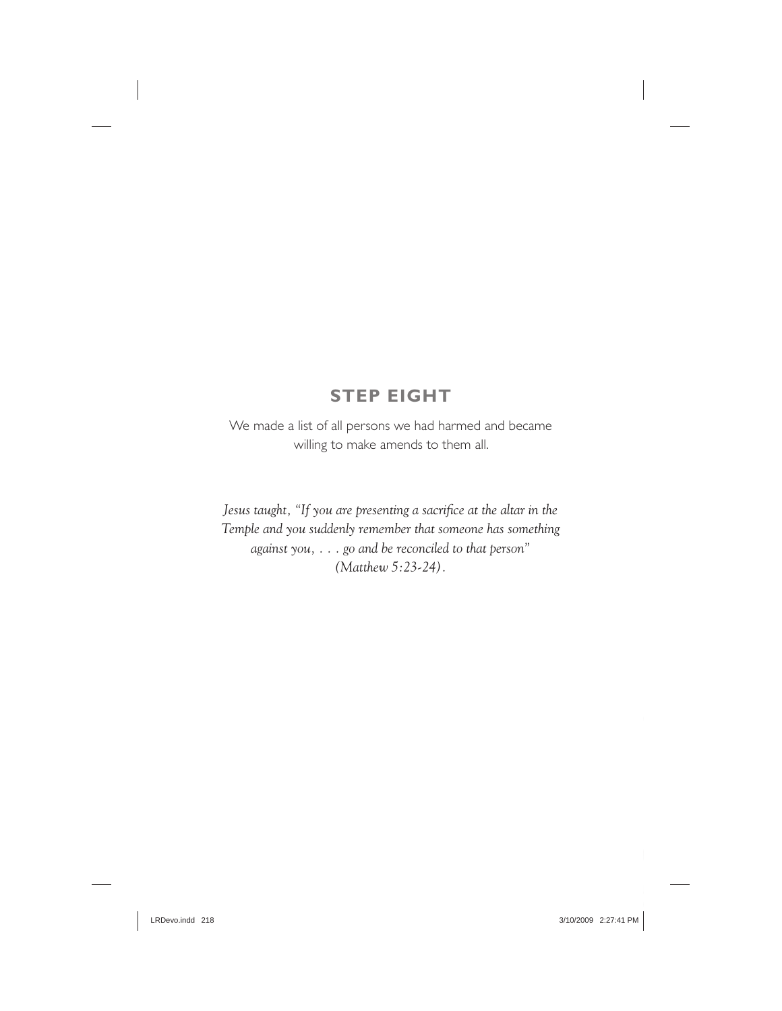# **STEP EIGHT**

We made a list of all persons we had harmed and became willing to make amends to them all.

*Jesus taught, "If you are presenting a sacrifice at the altar in the Temple and you suddenly remember that someone has something against you, . . . go and be reconciled to that person" (Matthew 5:23-24).*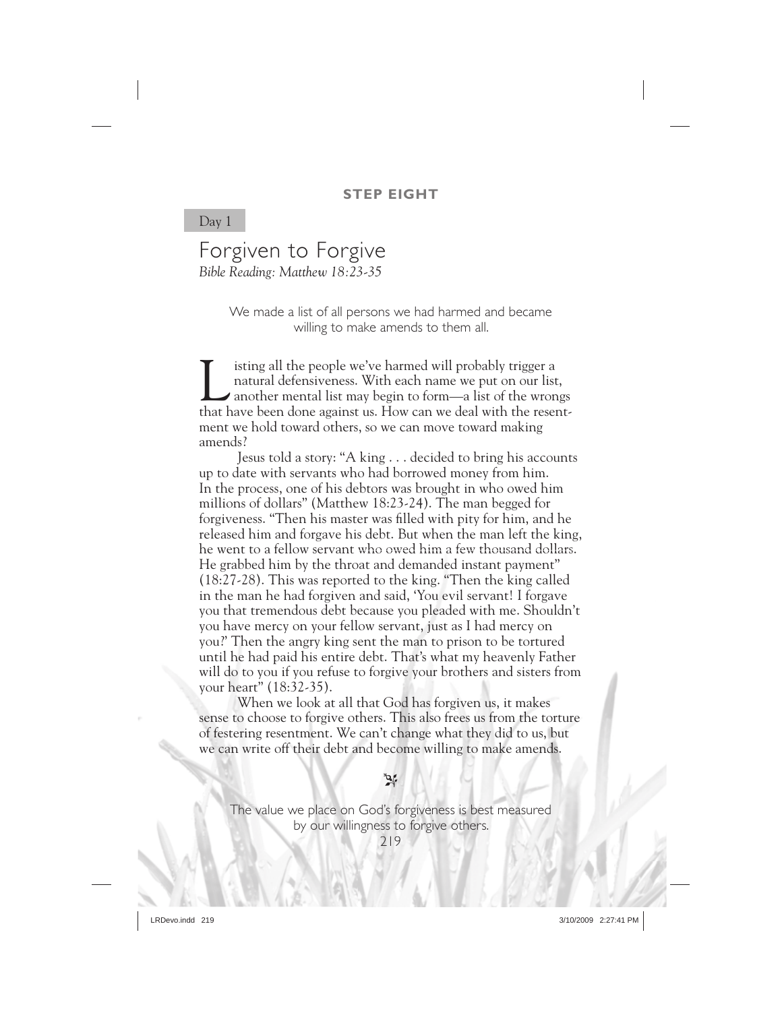### Forgiven to Forgive *Bible Reading: Matthew 18:23-35*

We made a list of all persons we had harmed and became willing to make amends to them all.

I isting all the people we've harmed will probably trigger a<br>
natural defensiveness. With each name we put on our list,<br>
another mental list may begin to form—a list of the wrongs<br>
that have been done against us. How can w natural defensiveness. With each name we put on our list, that have been done against us. How can we deal with the resentment we hold toward others, so we can move toward making amends?

Jesus told a story: "A king . . . decided to bring his accounts up to date with servants who had borrowed money from him. In the process, one of his debtors was brought in who owed him millions of dollars" (Matthew 18:23-24). The man begged for forgiveness. "Then his master was filled with pity for him, and he released him and forgave his debt. But when the man left the king, he went to a fellow servant who owed him a few thousand dollars. He grabbed him by the throat and demanded instant payment" (18:27-28). This was reported to the king. "Then the king called in the man he had forgiven and said, 'You evil servant! I forgave you that tremendous debt because you pleaded with me. Shouldn't you have mercy on your fellow servant, just as I had mercy on you?' Then the angry king sent the man to prison to be tortured until he had paid his entire debt. That's what my heavenly Father will do to you if you refuse to forgive your brothers and sisters from your heart" (18:32-35).

When we look at all that God has forgiven us, it makes sense to choose to forgive others. This also frees us from the torture of festering resentment. We can't change what they did to us, but we can write off their debt and become willing to make amends.

 The value we place on God's forgiveness is best measured by our willingness to forgive others.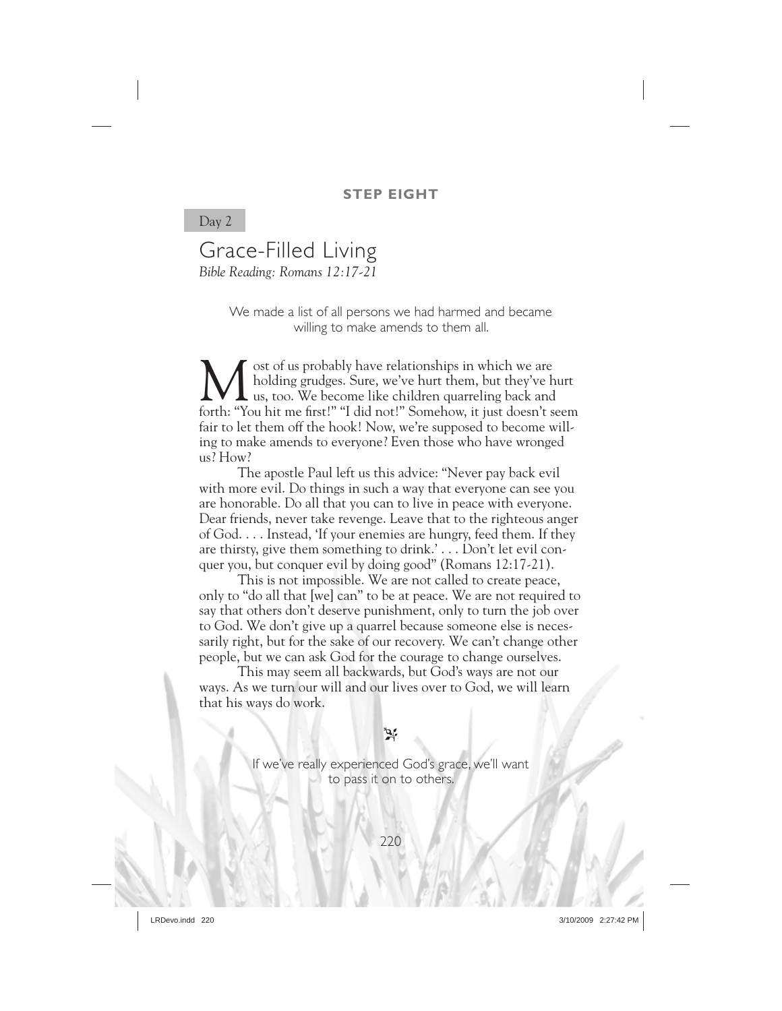### Grace-Filled Living *Bible Reading: Romans 12:17-21*

We made a list of all persons we had harmed and became willing to make amends to them all.

**M** ost of us probably have relationships in which we are holding grudges. Sure, we've hurt them, but they've h<br>the us, too. We become like children quarreling back and<br>forth: "You hit me first!" "I did not!" Somehow it ju holding grudges. Sure, we've hurt them, but they've hurt forth: "You hit me first!" "I did not!" Somehow, it just doesn't seem fair to let them off the hook! Now, we're supposed to become willing to make amends to everyone? Even those who have wronged us? How?

The apostle Paul left us this advice: "Never pay back evil with more evil. Do things in such a way that everyone can see you are honorable. Do all that you can to live in peace with everyone. Dear friends, never take revenge. Leave that to the righteous anger of God. . . . Instead, 'If your enemies are hungry, feed them. If they are thirsty, give them something to drink.'  $\ldots$  Don't let evil conquer you, but conquer evil by doing good" (Romans 12:17-21).

This is not impossible. We are not called to create peace, only to "do all that [we] can" to be at peace. We are not required to say that others don't deserve punishment, only to turn the job over to God. We don't give up a quarrel because someone else is necessarily right, but for the sake of our recovery. We can't change other people, but we can ask God for the courage to change ourselves.

This may seem all backwards, but God's ways are not our ways. As we turn our will and our lives over to God, we will learn that his ways do work.

 $\mathcal{A}$ 

If we've really experienced God's grace, we'll want to pass it on to others.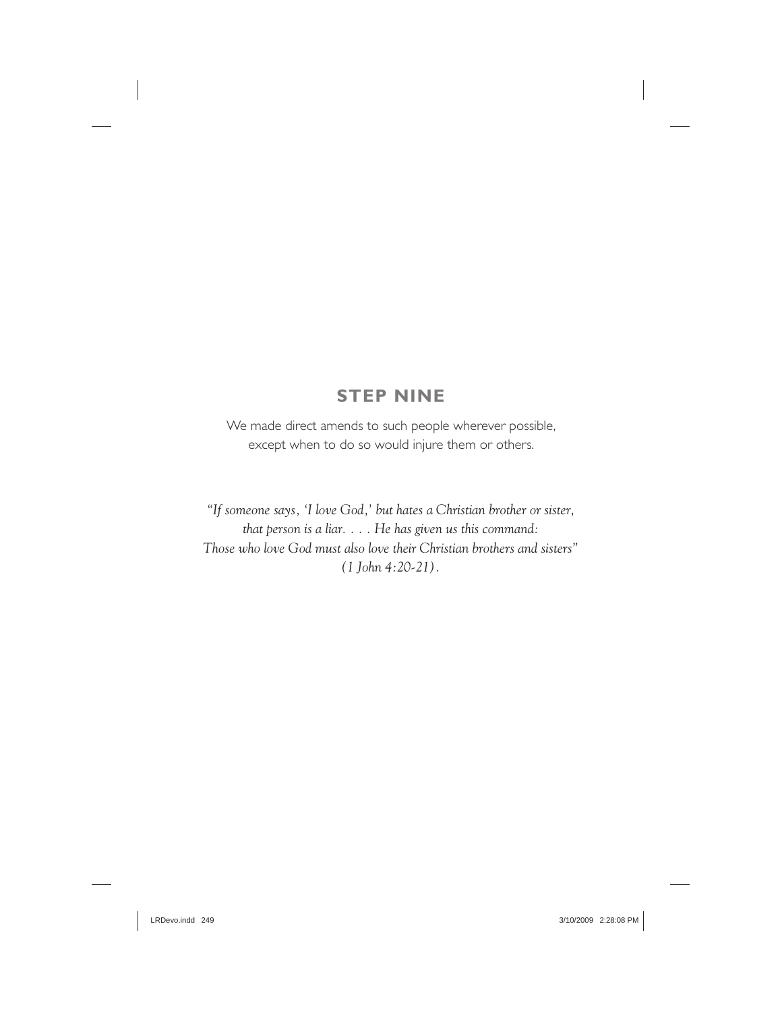## **STEP NINE**

We made direct amends to such people wherever possible, except when to do so would injure them or others.

*"If someone says, 'I love God,' but hates a Christian brother or sister, that person is a liar. . . . He has given us this command: Those who love God must also love their Christian brothers and sisters" (1 John 4:20-21).*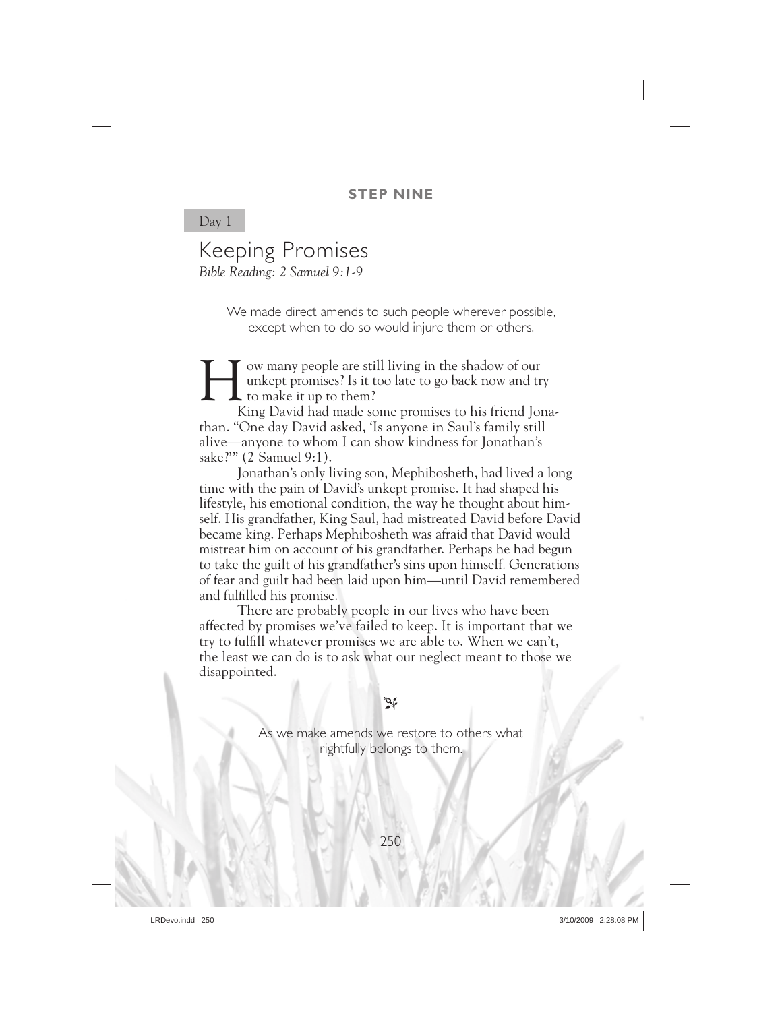## Keeping Promises *Bible Reading: 2 Samuel 9:1-9*

We made direct amends to such people wherever possible, except when to do so would injure them or others.

I ow many people are still living in the shadow of our<br>to make it up to them?<br>King David had made some promises to his friend Ion unkept promises? Is it too late to go back now and try to make it up to them?

King David had made some promises to his friend Jonathan. "One day David asked, 'Is anyone in Saul's family still alive—anyone to whom I can show kindness for Jonathan's sake?"" (2 Samuel 9:1).

Jonathan's only living son, Mephibosheth, had lived a long time with the pain of David's unkept promise. It had shaped his lifestyle, his emotional condition, the way he thought about himself. His grandfather, King Saul, had mistreated David before David became king. Perhaps Mephibosheth was afraid that David would mistreat him on account of his grandfather. Perhaps he had begun to take the guilt of his grandfather's sins upon himself. Generations of fear and guilt had been laid upon him—until David remembered and fulfilled his promise.

There are probably people in our lives who have been affected by promises we've failed to keep. It is important that we try to fulfill whatever promises we are able to. When we can't, the least we can do is to ask what our neglect meant to those we disappointed.

ት

As we make amends we restore to others what rightfully belongs to them.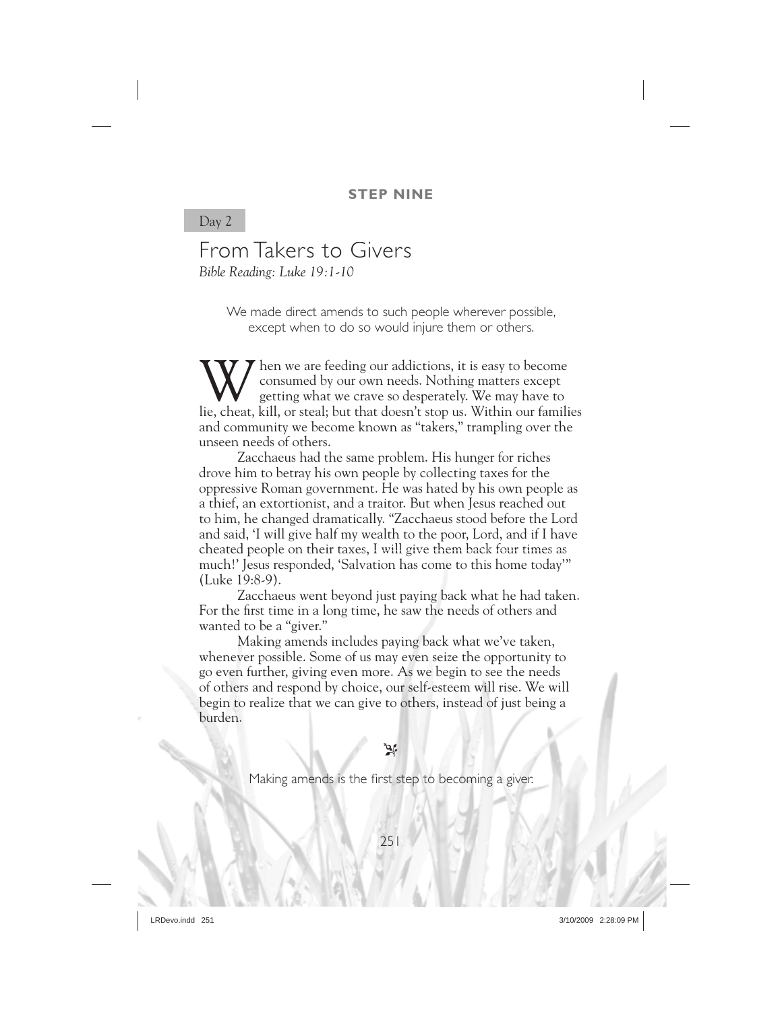### From Takers to Givers *Bible Reading: Luke 19:1-10*

We made direct amends to such people wherever possible, except when to do so would injure them or others.

When we are feeding our addictions, it is easy to become<br>consumed by our own needs. Nothing matters except<br>getting what we crave so desperately. We may have to<br>lie cheat kill or steal: but that doesn't stop us. Within our consumed by our own needs. Nothing matters except getting what we crave so desperately. We may have to lie, cheat, kill, or steal; but that doesn't stop us. Within our families and community we become known as "takers," trampling over the unseen needs of others.

Zacchaeus had the same problem. His hunger for riches drove him to betray his own people by collecting taxes for the oppressive Roman government. He was hated by his own people as a thief, an extortionist, and a traitor. But when Jesus reached out to him, he changed dramatically. "Zacchaeus stood before the Lord and said, 'I will give half my wealth to the poor, Lord, and if I have cheated people on their taxes, I will give them back four times as much!' Jesus responded, 'Salvation has come to this home today'" (Luke 19:8-9).

Zacchaeus went beyond just paying back what he had taken. For the first time in a long time, he saw the needs of others and wanted to be a "giver."

Making amends includes paying back what we've taken, whenever possible. Some of us may even seize the opportunity to go even further, giving even more. As we begin to see the needs of others and respond by choice, our self-esteem will rise. We will begin to realize that we can give to others, instead of just being a burden.

Making amends is the first step to becoming a giver.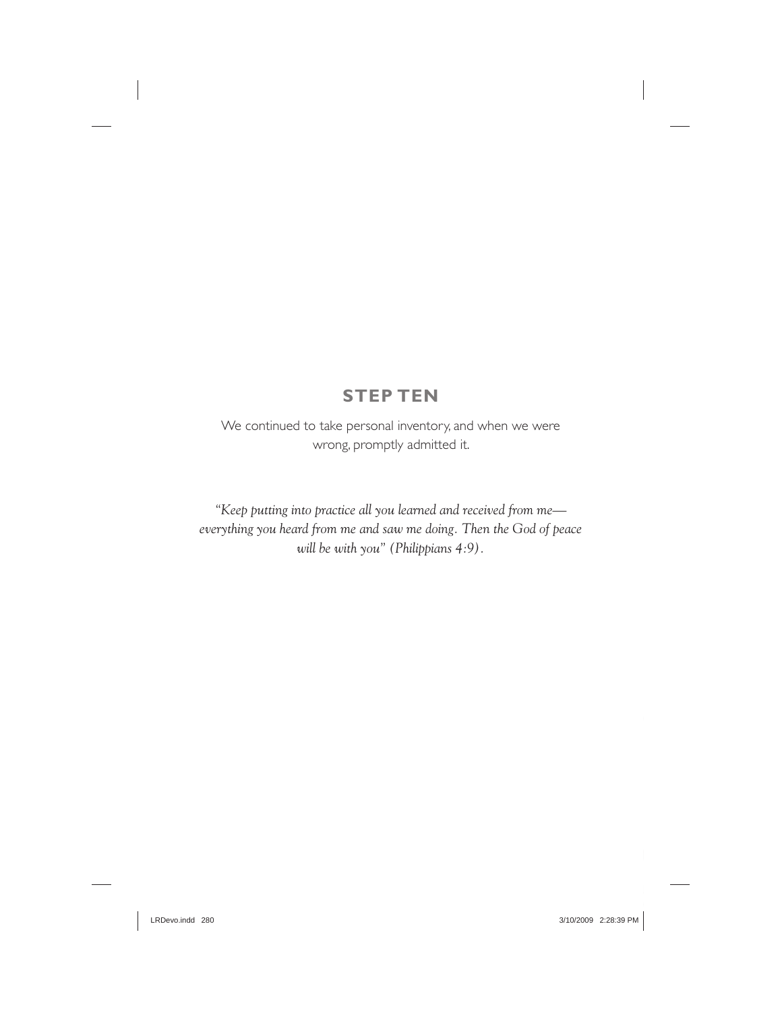# **STEP TEN**

We continued to take personal inventory, and when we were wrong, promptly admitted it.

*"Keep putting into practice all you learned and received from me everything you heard from me and saw me doing. Then the God of peace will be with you" (Philippians 4:9).*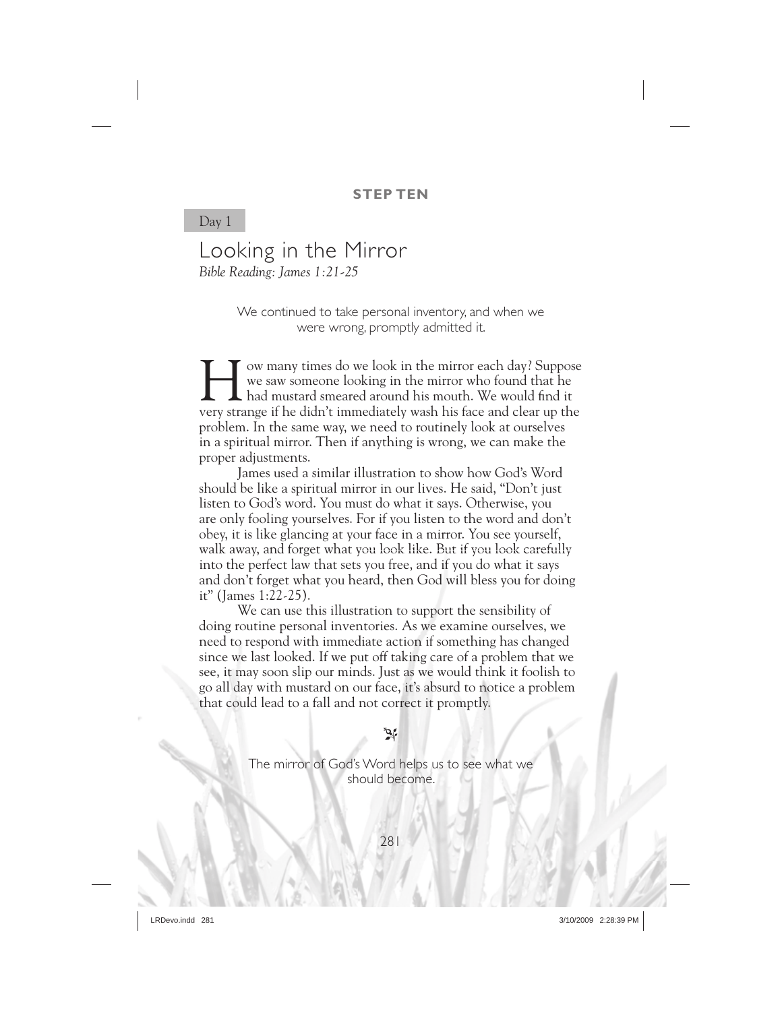# Looking in the Mirror *Bible Reading: James 1:21-25*

We continued to take personal inventory, and when we were wrong, promptly admitted it.

We saw someone looking in the mirror each day? Suppose we saw someone looking in the mirror who found that he had mustard smeared around his mouth. We would find it were strange if he didn't immediately wash his face and c we saw someone looking in the mirror who found that he very strange if he didn't immediately wash his face and clear up the problem. In the same way, we need to routinely look at ourselves in a spiritual mirror. Then if anything is wrong, we can make the proper adjustments.

James used a similar illustration to show how God's Word should be like a spiritual mirror in our lives. He said, "Don't just listen to God's word. You must do what it says. Otherwise, you are only fooling yourselves. For if you listen to the word and don't obey, it is like glancing at your face in a mirror. You see yourself, walk away, and forget what you look like. But if you look carefully into the perfect law that sets you free, and if you do what it says and don't forget what you heard, then God will bless you for doing it" (James 1:22-25).

We can use this illustration to support the sensibility of doing routine personal inventories. As we examine ourselves, we need to respond with immediate action if something has changed since we last looked. If we put off taking care of a problem that we see, it may soon slip our minds. Just as we would think it foolish to go all day with mustard on our face, it's absurd to notice a problem that could lead to a fall and not correct it promptly.

ት

The mirror of God's Word helps us to see what we should become.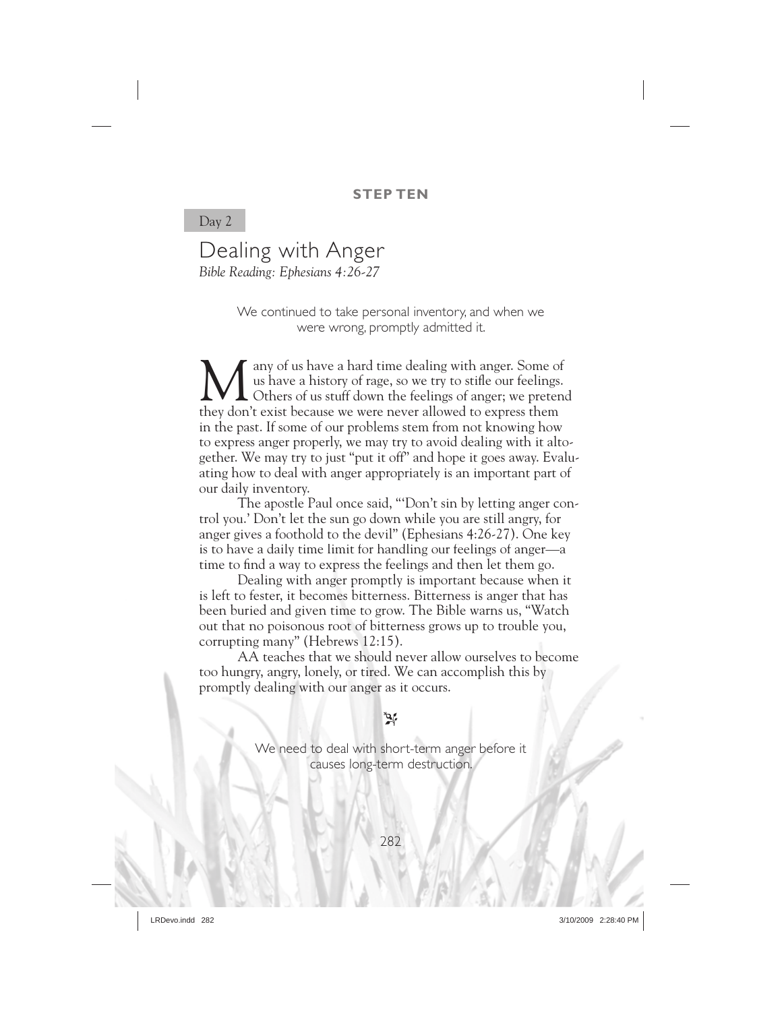# Dealing with Anger *Bible Reading: Ephesians 4:26-27*

We continued to take personal inventory, and when we were wrong, promptly admitted it.

Many of us have a hard time dealing with anger. Some of<br>Us have a history of rage, so we try to stifle our feelings.<br>they don't exist because we were never allowed to express them. us have a history of rage, so we try to stifle our feelings. Others of us stuff down the feelings of anger; we pretend they don't exist because we were never allowed to express them in the past. If some of our problems stem from not knowing how to express anger properly, we may try to avoid dealing with it altogether. We may try to just "put it off" and hope it goes away. Evaluating how to deal with anger appropriately is an important part of our daily inventory.

The apostle Paul once said, "'Don't sin by letting anger control you.' Don't let the sun go down while you are still angry, for anger gives a foothold to the devil" (Ephesians 4:26-27). One key is to have a daily time limit for handling our feelings of anger—a time to find a way to express the feelings and then let them go.

Dealing with anger promptly is important because when it is left to fester, it becomes bitterness. Bitterness is anger that has been buried and given time to grow. The Bible warns us, "Watch out that no poisonous root of bitterness grows up to trouble you, corrupting many" (Hebrews 12:15).

AA teaches that we should never allow ourselves to become too hungry, angry, lonely, or tired. We can accomplish this by promptly dealing with our anger as it occurs.

 $\mathcal{A}$ 

We need to deal with short-term anger before it causes long-term destruction.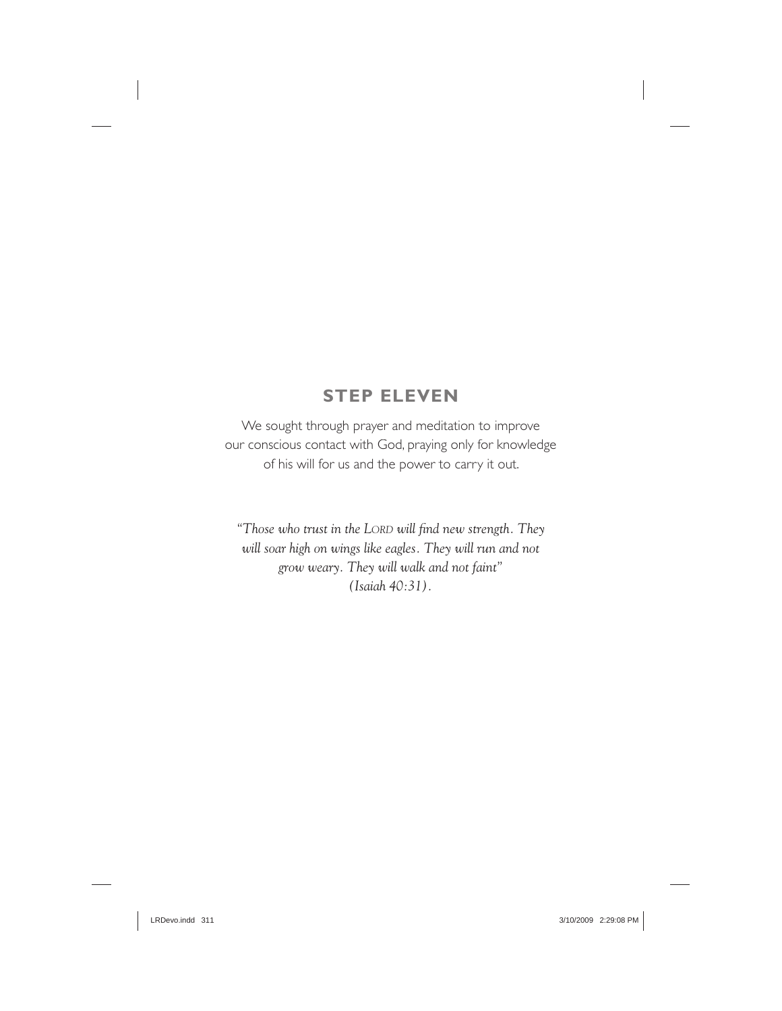## **STEP ELEVEN**

We sought through prayer and meditation to improve our conscious contact with God, praying only for knowledge of his will for us and the power to carry it out.

*"Those who trust in the LORD will find new strength. They will soar high on wings like eagles. They will run and not grow weary. They will walk and not faint" (Isaiah 40:31).*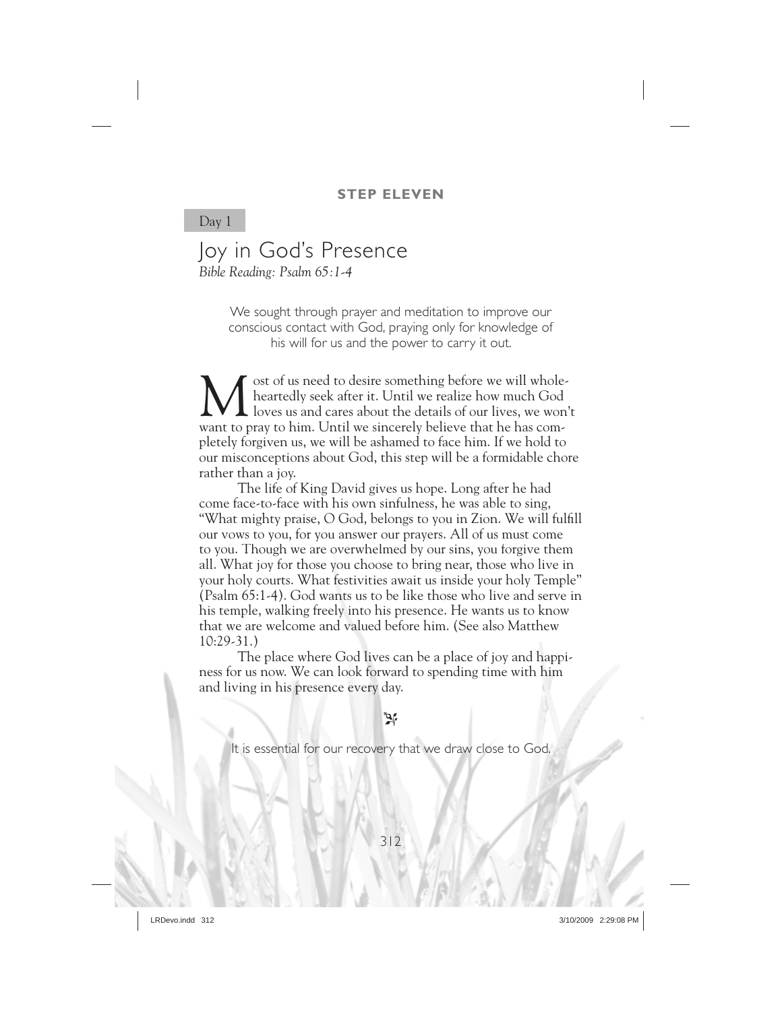### Joy in God's Presence *Bible Reading: Psalm 65:1-4*

We sought through prayer and meditation to improve our conscious contact with God, praying only for knowledge of his will for us and the power to carry it out.

**M** ost of us need to desire something before we will whole-<br>heartedly seek after it. Until we realize how much God<br>want to pray to bim. Until we sincerely believe that he has come heartedly seek after it. Until we realize how much God want to pray to him. Until we sincerely believe that he has completely forgiven us, we will be ashamed to face him. If we hold to our misconceptions about God, this step will be a formidable chore rather than a joy.

The life of King David gives us hope. Long after he had come face-to-face with his own sinfulness, he was able to sing, "What mighty praise, O God, belongs to you in Zion. We will fulfill our vows to you, for you answer our prayers. All of us must come to you. Though we are overwhelmed by our sins, you forgive them all. What joy for those you choose to bring near, those who live in your holy courts. What festivities await us inside your holy Temple" (Psalm 65:1-4). God wants us to be like those who live and serve in his temple, walking freely into his presence. He wants us to know that we are welcome and valued before him. (See also Matthew 10:29-31.)

The place where God lives can be a place of joy and happiness for us now. We can look forward to spending time with him and living in his presence every day.

#### $\mathcal{A}$

It is essential for our recovery that we draw close to God.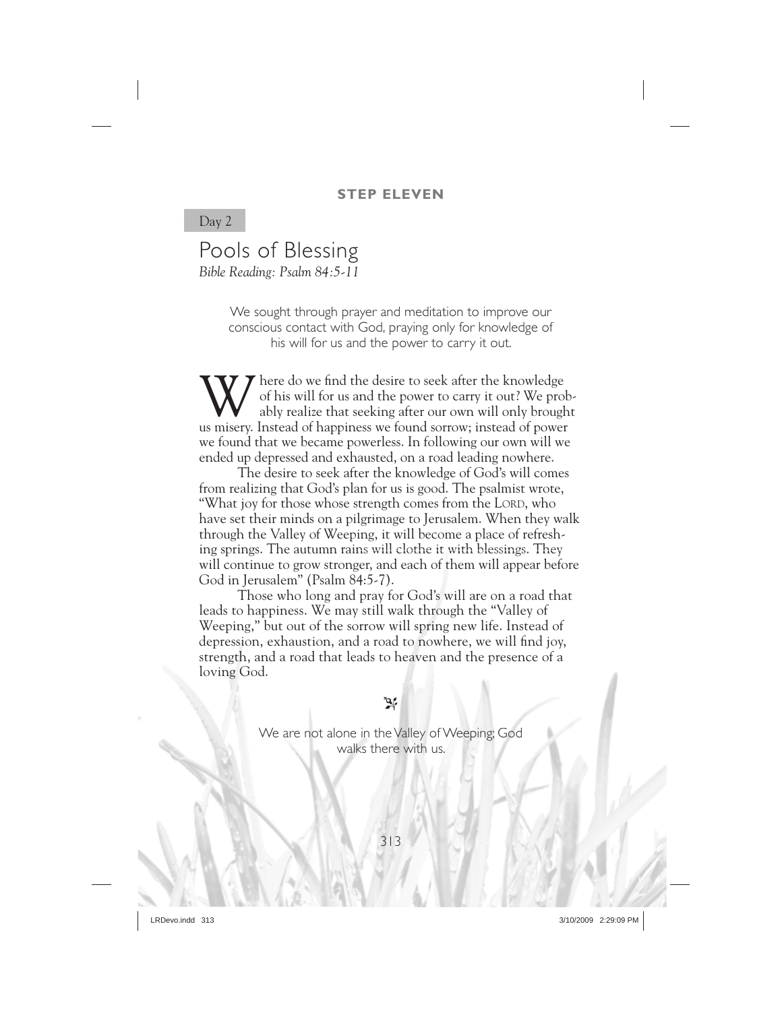### Pools of Blessing *Bible Reading: Psalm 84:5-11*

We sought through prayer and meditation to improve our conscious contact with God, praying only for knowledge of his will for us and the power to carry it out.

Where do we find the desire to seek after the knowledge<br>of his will for us and the power to carry it out? We pro<br>ably realize that seeking after our own will only broug<br>us misery Instead of happiness we found sorrow; inste of his will for us and the power to carry it out? We probably realize that seeking after our own will only brought us misery. Instead of happiness we found sorrow; instead of power we found that we became powerless. In following our own will we ended up depressed and exhausted, on a road leading nowhere.

The desire to seek after the knowledge of God's will comes from realizing that God's plan for us is good. The psalmist wrote, "What joy for those whose strength comes from the LORD, who have set their minds on a pilgrimage to Jerusalem. When they walk through the Valley of Weeping, it will become a place of refreshing springs. The autumn rains will clothe it with blessings. They will continue to grow stronger, and each of them will appear before God in Jerusalem" (Psalm 84:5-7).

Those who long and pray for God's will are on a road that leads to happiness. We may still walk through the "Valley of Weeping," but out of the sorrow will spring new life. Instead of depression, exhaustion, and a road to nowhere, we will find joy, strength, and a road that leads to heaven and the presence of a loving God.

ት

 We are not alone in the Valley of Weeping; God walks there with us.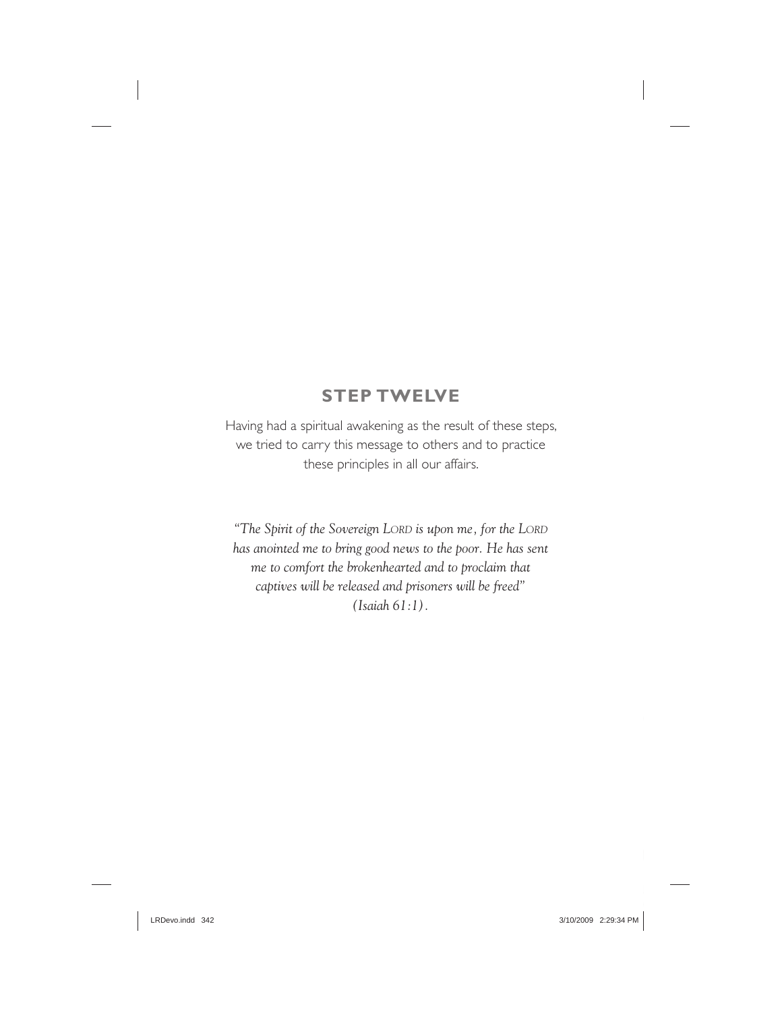# **STEP TWELVE**

Having had a spiritual awakening as the result of these steps, we tried to carry this message to others and to practice these principles in all our affairs.

*"The Spirit of the Sovereign LORD is upon me, for the LORD has anointed me to bring good news to the poor. He has sent me to comfort the brokenhearted and to proclaim that captives will be released and prisoners will be freed" (Isaiah 61:1).*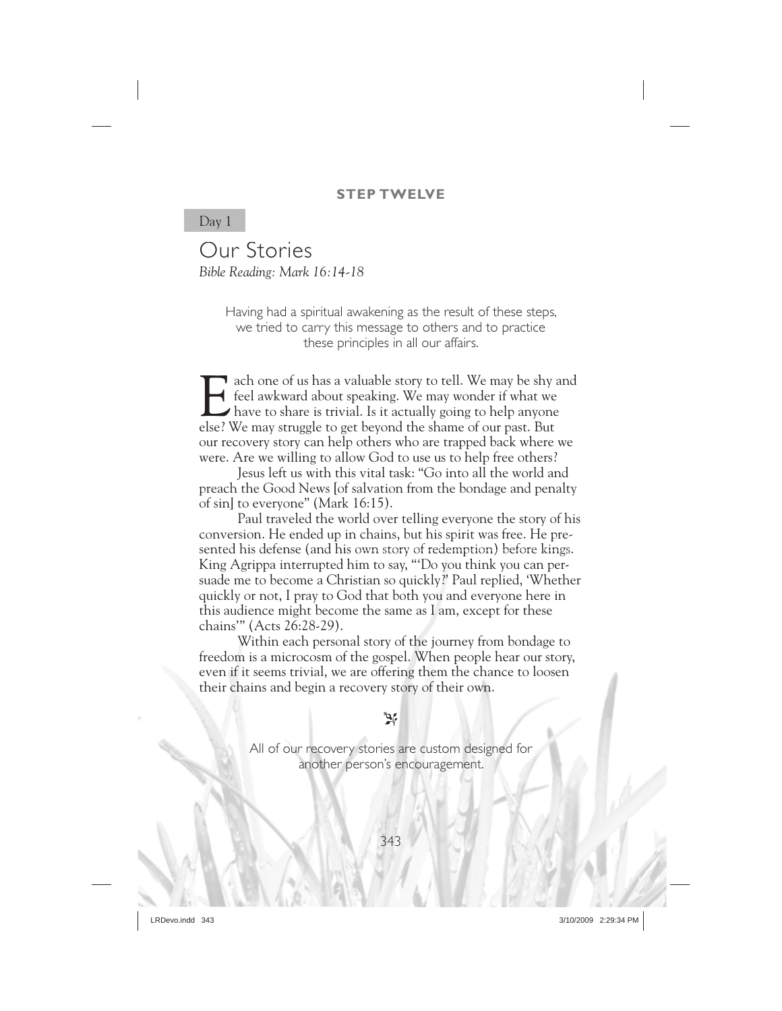#### **STEP TWELVE**

Day 1

## Our Stories *Bible Reading: Mark 16:14-18*

Having had a spiritual awakening as the result of these steps, we tried to carry this message to others and to practice these principles in all our affairs.

Each one of us has a valuable story to tell. We may be shy and<br>feel awkward about speaking. We may wonder if what we<br>have to share is trivial. Is it actually going to help anyone<br>else? We may struggle to get beyond the sha feel awkward about speaking. We may wonder if what we else? We may struggle to get beyond the shame of our past. But our recovery story can help others who are trapped back where we were. Are we willing to allow God to use us to help free others?

Jesus left us with this vital task: "Go into all the world and preach the Good News [of salvation from the bondage and penalty of sin] to everyone" (Mark 16:15).

Paul traveled the world over telling everyone the story of his conversion. He ended up in chains, but his spirit was free. He presented his defense (and his own story of redemption) before kings. King Agrippa interrupted him to say, " 'Do you think you can persuade me to become a Christian so quickly?' Paul replied, 'Whether quickly or not, I pray to God that both you and everyone here in this audience might become the same as I am, except for these chains'" (Acts 26:28-29).

Within each personal story of the journey from bondage to freedom is a microcosm of the gospel. When people hear our story, even if it seems trivial, we are offering them the chance to loosen their chains and begin a recovery story of their own.

#### -

All of our recovery stories are custom designed for another person's encouragement.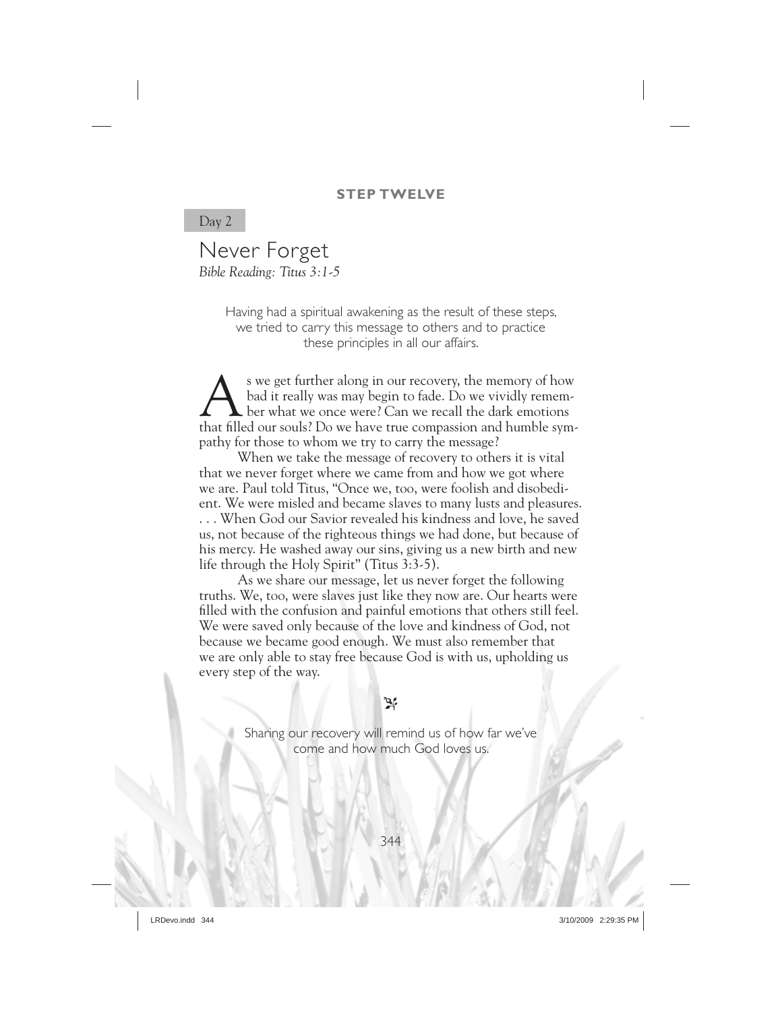#### **STEP TWELVE**

Day 2

Never Forget *Bible Reading: Titus 3:1-5*

> Having had a spiritual awakening as the result of these steps, we tried to carry this message to others and to practice these principles in all our affairs.

s we get further along in our recovery, the memory of how bad it really was may begin to fade. Do we vividly remember what we once were? Can we recall the dark emotions that filled our souls? Do we have true compassion and humble sympathy for those to whom we try to carry the message?

When we take the message of recovery to others it is vital that we never forget where we came from and how we got where we are. Paul told Titus, "Once we, too, were foolish and disobedient. We were misled and became slaves to many lusts and pleasures. . . . When God our Savior revealed his kindness and love, he saved us, not because of the righteous things we had done, but because of his mercy. He washed away our sins, giving us a new birth and new life through the Holy Spirit" (Titus 3:3-5).

As we share our message, let us never forget the following truths. We, too, were slaves just like they now are. Our hearts were filled with the confusion and painful emotions that others still feel. We were saved only because of the love and kindness of God, not because we became good enough. We must also remember that we are only able to stay free because God is with us, upholding us every step of the way.

-

Sharing our recovery will remind us of how far we've come and how much God loves us.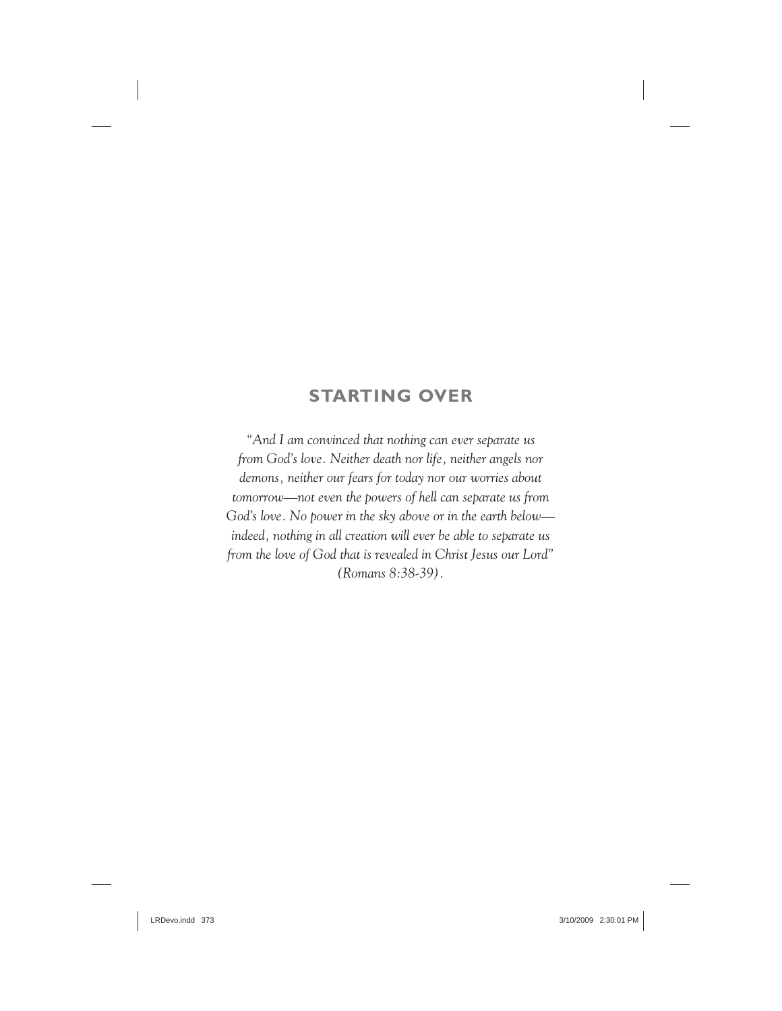### **STARTING OVER**

*"And I am convinced that nothing can ever separate us from God's love. Neither death nor life, neither angels nor demons, neither our fears for today nor our worries about tomorrow—not even the powers of hell can separate us from God's love. No power in the sky above or in the earth below indeed, nothing in all creation will ever be able to separate us from the love of God that is revealed in Christ Jesus our Lord" (Romans 8:38-39).*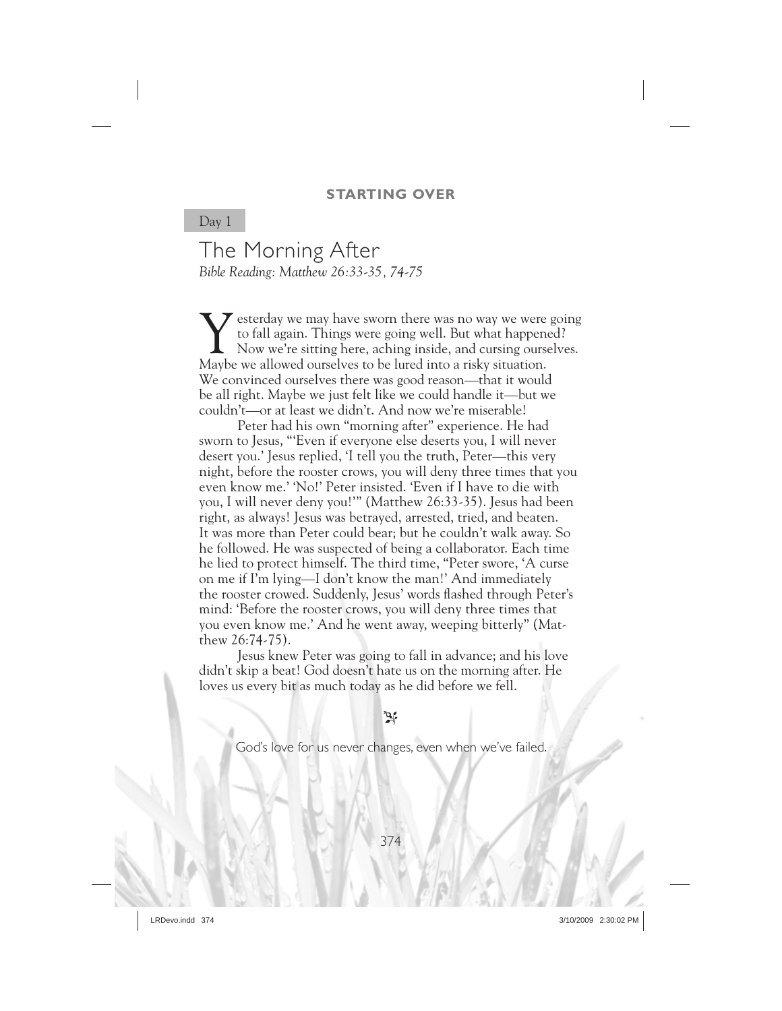# The Morning After *Bible Reading: Matthew 26:33-35, 74-75*

Yesterday we may have sworn there was no way we were going<br>to fall again. Things were going well. But what happened?<br>Now we're sitting here, aching inside, and cursing ourselves. to fall again. Things were going well. But what happened? Now we're sitting here, aching inside, and cursing ourselves. Maybe we allowed ourselves to be lured into a risky situation. We convinced ourselves there was good reason—that it would be all right. Maybe we just felt like we could handle it—but we couldn't—or at least we didn't. And now we're miserable!

Peter had his own "morning after" experience. He had sworn to Jesus, " 'Even if everyone else deserts you, I will never desert you.' Jesus replied, 'I tell you the truth, Peter—this very night, before the rooster crows, you will deny three times that you even know me.' 'No!' Peter insisted. 'Even if I have to die with you, I will never deny you!"" (Matthew 26:33-35). Jesus had been right, as always! Jesus was betrayed, arrested, tried, and beaten. It was more than Peter could bear; but he couldn't walk away. So he followed. He was suspected of being a collaborator. Each time he lied to protect himself. The third time, "Peter swore, 'A curse on me if I'm lying—I don't know the man!' And immediately the rooster crowed. Suddenly, Jesus' words flashed through Peter's mind: 'Before the rooster crows, you will deny three times that you even know me.' And he went away, weeping bitterly" (Matthew 26:74-75).

Jesus knew Peter was going to fall in advance; and his love didn't skip a beat! God doesn't hate us on the morning after. He loves us every bit as much today as he did before we fell.

#### $\mathbb{R}^n$

God's love for us never changes, even when we've failed.